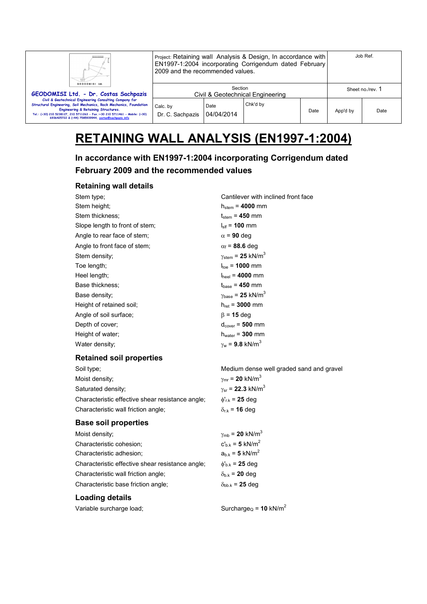| Ш<br>GEODOMISI Ltd.                                                                                                                                                                                                                                                                                         | Project: Retaining wall Analysis & Design, In accordance with<br>EN1997-1:2004 incorporating Corrigendum dated February<br>2009 and the recommended values. |                    |          |      | Job Ref. |                  |
|-------------------------------------------------------------------------------------------------------------------------------------------------------------------------------------------------------------------------------------------------------------------------------------------------------------|-------------------------------------------------------------------------------------------------------------------------------------------------------------|--------------------|----------|------|----------|------------------|
| GEODOMISI Ltd. - Dr. Costas Sachpazis                                                                                                                                                                                                                                                                       | Section<br>Civil & Geotechnical Engineering                                                                                                                 |                    |          |      |          | Sheet no./rev. 1 |
| Civil & Geotechnical Engineering Consulting Company for<br>Structural Engineering, Soil Mechanics, Rock Mechanics, Foundation<br>Engineering & Retaining Structures.<br>Tel.: (+30) 210 5238127, 210 5711263 - Fax.:+30 210 5711461 - Mobile: (+30)<br>6936425722 & (+44) 7585939944, costas@sachpazis.info | Calc. by<br>Dr. C. Sachpazis                                                                                                                                | Date<br>04/04/2014 | Chk'd by | Date | App'd by | Date             |

# **RETAINING WALL ANALYSIS (EN1997-1:2004)**

# **In accordance with EN1997-1:2004 incorporating Corrigendum dated February 2009 and the recommended values**

#### **Retaining wall details**

| Stem type;                                       | Cantilever with inclined front face           |
|--------------------------------------------------|-----------------------------------------------|
| Stem height;                                     | $h_{stem} = 4000$ mm                          |
| Stem thickness:                                  | $t_{\text{stem}} = 450$ mm                    |
| Slope length to front of stem;                   | $I_{\rm sff}$ = 100 mm                        |
| Angle to rear face of stem;                      | $\alpha$ = 90 deg                             |
| Angle to front face of stem;                     | $\alpha_f$ = 88.6 deg                         |
| Stem density;                                    | $\gamma_{\text{stem}}$ = 25 kN/m <sup>3</sup> |
| Toe length;                                      | $I_{\text{toe}} = 1000$ mm                    |
| Heel length;                                     | $I_{\text{heel}} = 4000 \text{ mm}$           |
| Base thickness;                                  | $t_{base} = 450$ mm                           |
| Base density;                                    | $\gamma_{\text{base}}$ = 25 kN/m <sup>3</sup> |
| Height of retained soil;                         | $h_{\text{ret}} = 3000 \text{ mm}$            |
| Angle of soil surface;                           | $\beta$ = 15 deg                              |
| Depth of cover;                                  | $d_{cover} = 500$ mm                          |
| Height of water;                                 | $h_{\text{water}} = 300$ mm                   |
| Water density;                                   | $\gamma_{w}$ = 9.8 kN/m <sup>3</sup>          |
|                                                  |                                               |
| <b>Retained soil properties</b>                  |                                               |
| Soil type;                                       | Medium dense well graded sand and gravel      |
| Moist density;                                   | $\gamma_{\text{mr}}$ = 20 kN/m <sup>3</sup>   |
| Saturated density;                               | $\gamma_{\rm sr}$ = 22.3 kN/m <sup>3</sup>    |
| Characteristic effective shear resistance angle; | $\phi'_{r,k}$ = 25 deg                        |
| Characteristic wall friction angle;              | $\delta_{r,k}$ = 16 deg                       |
| <b>Base soil properties</b>                      |                                               |
| Moist density;                                   | $\gamma_{\rm mb}$ = 20 kN/m <sup>3</sup>      |
| Characteristic cohesion;                         | $c_{h,k} = 5$ kN/m <sup>2</sup>               |
| Characteristic adhesion;                         | $a_{b.k} = 5$ kN/m <sup>2</sup>               |
| Characteristic effective shear resistance angle; | $\phi_{b.k} = 25$ deg                         |
| Characteristic wall friction angle;              | $\delta_{b,k}$ = 20 deg                       |
| Characteristic base friction angle;              | $\delta_{bb,k}$ = 25 deg                      |
| <b>Loading details</b>                           |                                               |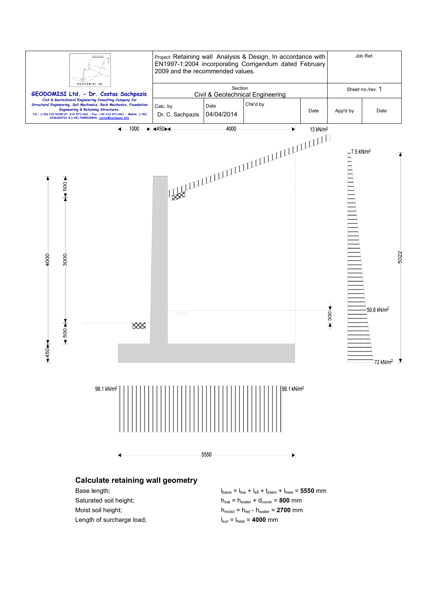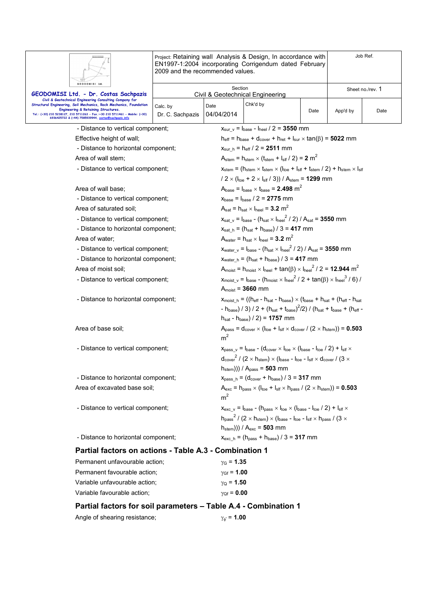|                                                                                                                                                                            | Project: Retaining wall Analysis & Design, In accordance with<br>EN1997-1:2004 incorporating Corrigendum dated February<br>2009 and the recommended values. |                                                                                                                                                                                                                                                                                                                                                                           |                                                                                                                                                             |                  |          | Job Ref. |  |
|----------------------------------------------------------------------------------------------------------------------------------------------------------------------------|-------------------------------------------------------------------------------------------------------------------------------------------------------------|---------------------------------------------------------------------------------------------------------------------------------------------------------------------------------------------------------------------------------------------------------------------------------------------------------------------------------------------------------------------------|-------------------------------------------------------------------------------------------------------------------------------------------------------------|------------------|----------|----------|--|
| GEODOMISI Ltd.<br>GEODOMISI Ltd. - Dr. Costas Sachpazis                                                                                                                    | Section<br>Civil & Geotechnical Engineering                                                                                                                 |                                                                                                                                                                                                                                                                                                                                                                           |                                                                                                                                                             | Sheet no./rev. 1 |          |          |  |
| Civil & Geotechnical Engineering Consulting Company for<br>Structural Engineering, Soil Mechanics, Rock Mechanics, Foundation                                              | Calc. by                                                                                                                                                    | Date                                                                                                                                                                                                                                                                                                                                                                      | Chk'd by                                                                                                                                                    |                  |          |          |  |
| Engineering & Retaining Structures.<br>Tel.: (+30) 210 5238127, 210 5711263 - Fax.:+30 210 5711461 - Mobile: (+30)<br>6936425722 & (+44) 7585939944, costas@sachpazis.info | Dr. C. Sachpazis                                                                                                                                            | 04/04/2014                                                                                                                                                                                                                                                                                                                                                                |                                                                                                                                                             | Date             | App'd by | Date     |  |
| - Distance to vertical component;                                                                                                                                          |                                                                                                                                                             | $x_{\text{sur v}} = I_{\text{base}} - I_{\text{heel}} / 2 = 3550$ mm                                                                                                                                                                                                                                                                                                      |                                                                                                                                                             |                  |          |          |  |
| Effective height of wall;                                                                                                                                                  |                                                                                                                                                             | $h_{\text{eff}} = h_{\text{base}} + d_{\text{cover}} + h_{\text{ret}} + I_{\text{sur}} \times \tan(\beta) = 5022$ mm                                                                                                                                                                                                                                                      |                                                                                                                                                             |                  |          |          |  |
| - Distance to horizontal component;                                                                                                                                        |                                                                                                                                                             |                                                                                                                                                                                                                                                                                                                                                                           | $x_{\text{sur h}} = h_{\text{eff}} / 2 = 2511 \text{ mm}$                                                                                                   |                  |          |          |  |
| Area of wall stem;                                                                                                                                                         |                                                                                                                                                             |                                                                                                                                                                                                                                                                                                                                                                           | $A_{stem} = h_{stem} \times (t_{stem} + I_{slf} / 2) = 2 m2$                                                                                                |                  |          |          |  |
| - Distance to vertical component;                                                                                                                                          |                                                                                                                                                             |                                                                                                                                                                                                                                                                                                                                                                           | $x_{stem} = (h_{stem} \times t_{stem} \times (I_{toe} + I_{sf} + t_{stem} / 2) + h_{stem} \times I_{sf}$                                                    |                  |          |          |  |
|                                                                                                                                                                            |                                                                                                                                                             |                                                                                                                                                                                                                                                                                                                                                                           | $/ 2 \times (I_{\text{toe}} + 2 \times I_{\text{slf}} / 3)) / A_{\text{stem}} = 1299$ mm                                                                    |                  |          |          |  |
| Area of wall base;                                                                                                                                                         |                                                                                                                                                             |                                                                                                                                                                                                                                                                                                                                                                           | $A_{base} = I_{base} \times I_{base} = 2.498$ m <sup>2</sup>                                                                                                |                  |          |          |  |
| - Distance to vertical component;                                                                                                                                          |                                                                                                                                                             |                                                                                                                                                                                                                                                                                                                                                                           | $x_{base} = I_{base} / 2 = 2775$ mm                                                                                                                         |                  |          |          |  |
| Area of saturated soil;                                                                                                                                                    |                                                                                                                                                             |                                                                                                                                                                                                                                                                                                                                                                           | $A_{\text{sat}} = h_{\text{sat}} \times I_{\text{heel}} = 3.2 \text{ m}^2$                                                                                  |                  |          |          |  |
| - Distance to vertical component;                                                                                                                                          |                                                                                                                                                             |                                                                                                                                                                                                                                                                                                                                                                           | $x_{\text{sat v}} = I_{\text{base}} - (h_{\text{sat x}} I_{\text{heel}}^2 / 2) / A_{\text{sat}} = 3550$ mm                                                  |                  |          |          |  |
| - Distance to horizontal component;                                                                                                                                        |                                                                                                                                                             | $X_{\text{sat h}} = (h_{\text{sat}} + h_{\text{base}})/3 = 417$ mm                                                                                                                                                                                                                                                                                                        |                                                                                                                                                             |                  |          |          |  |
| Area of water:                                                                                                                                                             |                                                                                                                                                             |                                                                                                                                                                                                                                                                                                                                                                           | A <sub>water</sub> = $h_{\text{sat}} \times h_{\text{hel}}$ = 3.2 m <sup>2</sup>                                                                            |                  |          |          |  |
| - Distance to vertical component;                                                                                                                                          |                                                                                                                                                             | $x_{water v} = I_{base} - (h_{sat} \times I_{heel}^2 / 2) / A_{sat} = 3550$ mm                                                                                                                                                                                                                                                                                            |                                                                                                                                                             |                  |          |          |  |
| - Distance to horizontal component;                                                                                                                                        |                                                                                                                                                             | $x_{water h} = (h_{sat} + h_{base}) / 3 = 417$ mm                                                                                                                                                                                                                                                                                                                         |                                                                                                                                                             |                  |          |          |  |
| Area of moist soil:                                                                                                                                                        |                                                                                                                                                             | $A_{\text{moist}} = h_{\text{moist}} \times I_{\text{heel}} + \tan(\beta) \times I_{\text{heel}}^2 / 2 = 12.944 \text{ m}^2$                                                                                                                                                                                                                                              |                                                                                                                                                             |                  |          |          |  |
| - Distance to vertical component;                                                                                                                                          |                                                                                                                                                             | $x_{\text{moist\_v}} = I_{\text{base}} - (h_{\text{moist}} \times I_{\text{heel}}^2 / 2 + \tan(\beta) \times I_{\text{heel}}^3 / 6)$<br>$A_{\text{moist}} = 3660$ mm                                                                                                                                                                                                      |                                                                                                                                                             |                  |          |          |  |
| - Distance to horizontal component;                                                                                                                                        |                                                                                                                                                             | $x_{\text{moist h}} = ((h_{\text{eff}} - h_{\text{sat}} - h_{\text{base}}) \times (t_{\text{base}} + h_{\text{sat}} + (h_{\text{eff}} - h_{\text{sat}}))$<br>- h <sub>base</sub> ) / 3) / 2 + (h <sub>sat</sub> + t <sub>base</sub> ) <sup>2</sup> /2) / (h <sub>sat</sub> + t <sub>base</sub> + (h <sub>eff</sub> -<br>$h_{\text{sat}} - h_{\text{base}}$ / 2) = 1757 mm |                                                                                                                                                             |                  |          |          |  |
| Area of base soil;                                                                                                                                                         |                                                                                                                                                             | $A_{pass} = d_{cover} \times (I_{toe} + I_{sf} \times d_{cover} / (2 \times I_{stem})) = 0.503$<br>m <sup>2</sup>                                                                                                                                                                                                                                                         |                                                                                                                                                             |                  |          |          |  |
| - Distance to vertical component;                                                                                                                                          |                                                                                                                                                             |                                                                                                                                                                                                                                                                                                                                                                           | $x_{\text{pass\_v}} = I_{\text{base}} - (d_{\text{cover}} \times I_{\text{toe}} \times (I_{\text{base}} - I_{\text{toe}} / 2) + I_{\text{slf}} \times$      |                  |          |          |  |
|                                                                                                                                                                            |                                                                                                                                                             |                                                                                                                                                                                                                                                                                                                                                                           | $d_{cover}^2$ / (2 $\times$ h <sub>stem</sub> ) $\times$ (l <sub>base</sub> - l <sub>toe</sub> - l <sub>slf</sub> $\times$ d <sub>cover</sub> / (3 $\times$ |                  |          |          |  |
|                                                                                                                                                                            |                                                                                                                                                             | $h_{stem}$ ))) / $A_{pass} = 503$ mm                                                                                                                                                                                                                                                                                                                                      |                                                                                                                                                             |                  |          |          |  |
| - Distance to horizontal component;                                                                                                                                        |                                                                                                                                                             | $x_{pass_h} = (d_{cover} + h_{base}) / 3 = 317$ mm                                                                                                                                                                                                                                                                                                                        |                                                                                                                                                             |                  |          |          |  |
| Area of excavated base soil;                                                                                                                                               |                                                                                                                                                             | $A_{\text{exc}}$ = h <sub>pass</sub> $\times$ ( $I_{\text{toe}}$ + $I_{\text{slf}}$ $\times$ h <sub>pass</sub> / (2 $\times$ h <sub>stem</sub> )) = <b>0.503</b><br>m <sup>2</sup>                                                                                                                                                                                        |                                                                                                                                                             |                  |          |          |  |
| - Distance to vertical component;                                                                                                                                          |                                                                                                                                                             | $x_{\text{exc}_v} = I_{\text{base}} - (h_{\text{pass}} \times I_{\text{toe}} \times (I_{\text{base}} - I_{\text{toe}} / 2) + I_{\text{sf}} \times$                                                                                                                                                                                                                        |                                                                                                                                                             |                  |          |          |  |
|                                                                                                                                                                            |                                                                                                                                                             | $h_{\text{pass}}^2$ / (2 $\times$ h <sub>stem</sub> ) $\times$ ( $l_{\text{base}}$ - $l_{\text{toe}}$ - $l_{\text{sff}}$ $\times$ $h_{\text{pass}}$ / (3 $\times$                                                                                                                                                                                                         |                                                                                                                                                             |                  |          |          |  |
|                                                                                                                                                                            |                                                                                                                                                             | $h_{stem}$ ))) / $A_{exc}$ = 503 mm                                                                                                                                                                                                                                                                                                                                       |                                                                                                                                                             |                  |          |          |  |
| - Distance to horizontal component;                                                                                                                                        | $x_{\text{exc h}} = (h_{\text{pass}} + h_{\text{base}})/3 = 317$ mm                                                                                         |                                                                                                                                                                                                                                                                                                                                                                           |                                                                                                                                                             |                  |          |          |  |
| Partial factors on actions - Table A.3 - Combination 1                                                                                                                     |                                                                                                                                                             |                                                                                                                                                                                                                                                                                                                                                                           |                                                                                                                                                             |                  |          |          |  |
| Permanent unfavourable action;                                                                                                                                             |                                                                                                                                                             | $\gamma_{\rm G}$ = 1.35                                                                                                                                                                                                                                                                                                                                                   |                                                                                                                                                             |                  |          |          |  |
| Permanent favourable action;                                                                                                                                               |                                                                                                                                                             | $\gamma_{\text{Gf}} = 1.00$                                                                                                                                                                                                                                                                                                                                               |                                                                                                                                                             |                  |          |          |  |
| Variable unfavourable action;                                                                                                                                              |                                                                                                                                                             | $\gamma_{\rm Q}$ = 1.50                                                                                                                                                                                                                                                                                                                                                   |                                                                                                                                                             |                  |          |          |  |
| Variable favourable action;                                                                                                                                                |                                                                                                                                                             | $\gamma_{Qf} = 0.00$                                                                                                                                                                                                                                                                                                                                                      |                                                                                                                                                             |                  |          |          |  |
| Partial factors for soil parameters - Table A.4 - Combination 1                                                                                                            |                                                                                                                                                             |                                                                                                                                                                                                                                                                                                                                                                           |                                                                                                                                                             |                  |          |          |  |
| Angle of shearing resistance;                                                                                                                                              |                                                                                                                                                             | $\gamma_{\phi} = 1.00$                                                                                                                                                                                                                                                                                                                                                    |                                                                                                                                                             |                  |          |          |  |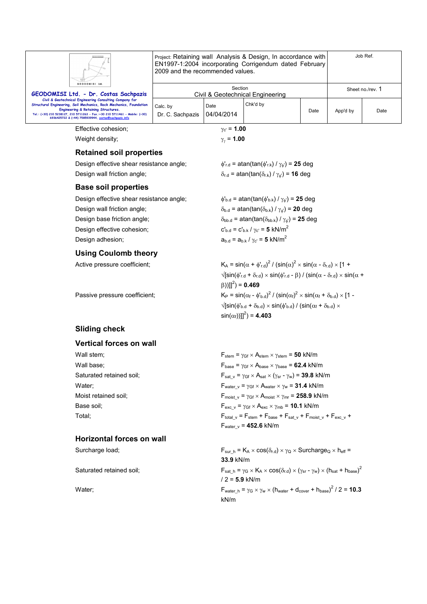| GEODOMISI Ltd. |  |
|----------------|--|

Project: Retaining wall Analysis & Design, In accordance with EN1997-1:2004 incorporating Corrigendum dated February 2009 and the recommended values.

| GEODOMISI Ltd.                                                                                                                                                                                                                                                                                              |                              | Section            |                                  |      |          | Sheet no./rev. 1 |
|-------------------------------------------------------------------------------------------------------------------------------------------------------------------------------------------------------------------------------------------------------------------------------------------------------------|------------------------------|--------------------|----------------------------------|------|----------|------------------|
| GEODOMISI Ltd. - Dr. Costas Sachpazis                                                                                                                                                                                                                                                                       |                              |                    | Civil & Geotechnical Engineering |      |          |                  |
| Civil & Geotechnical Engineering Consulting Company for<br>Structural Engineering, Soil Mechanics, Rock Mechanics, Foundation<br>Engineering & Retaining Structures.<br>Tel.: (+30) 210 5238127, 210 5711263 - Fax.:+30 210 5711461 - Mobile: (+30)<br>6936425722 & (+44) 7585939944, costas@sachpazis.info | Calc, by<br>Dr. C. Sachpazis | Date<br>04/04/2014 | Chk'd by                         | Date | App'd by | Date             |

Job Ref.

Effective cohesion;  $\gamma_{c'} = 1.00$ 

Weight density;

 $\gamma_{\nu} = 1.00$ 

#### **Retained soil properties**

| Design effective shear resistance angle; |  |
|------------------------------------------|--|
| Design wall friction angle;              |  |

#### **Base soil properties**

Design effective shear resistance angle;  $\phi'_{b,d} = \text{atan}(\tan(\phi'_{b,k}) / \gamma_{\phi}) = 25 \text{ deg}$ Design wall friction angle;  $\delta_{b,d}$  = atan(tan( $\delta_{b,k}$ ) /  $\gamma_{a'}$ ) = **20** deg Design base friction angle;  $\delta_{bb,d} = \text{atan}(\tan(\delta_{bb,k}) / \gamma_{d}) = 25 \text{ deg}$ Design effective cohesion;  $C_{b.d} = C_{b.k} / \gamma_{c'} = 5$  kN/m<sup>2</sup> Design adhesion;  $a_{b,d} = a_{b,k} / \gamma_{c'} = 5 \text{ kN/m}^2$ 

#### **Using Coulomb theory**

Active pressure coefficient;

Passive pressure coefficient:

 $\phi'_{r.d}$  = atan(tan( $\phi'_{r.k}$ ) /  $\gamma_{\phi'}$ ) = 25 deg  $\delta_{r.d}$  = atan(tan( $\delta_{r.k}$ ) /  $\gamma_{\phi}$ ) = **16** deg

 $2^2$  / (sin( $\alpha$ )<sup>2</sup> × sin( $\alpha$  -  $\delta_{\rm r.d}$ ) × [1 +  $\sqrt{\left[\sin(\phi_{r,d}^{\prime} + \delta_{r,d}) \times \sin(\phi_{r,d}^{\prime} - \beta)\right] / (\sin(\alpha - \delta_{r,d}) \times \sin(\alpha + \beta))}$  $(\beta))]$ <sup>2</sup>) = **0.469** <sup>2</sup> /  $\left(\sin(\alpha_f)^2 \times \sin(\alpha_f + \delta_{b.d}) \times [1 - \right)$  $\sqrt{\left[\sin(\phi_{\rm b.d}^{\rm t} + \delta_{\rm b.d}) \times \sin(\phi_{\rm b.d}^{\rm t}) / (\sin(\alpha_{\rm f} + \delta_{\rm b.d}) \times \right]}$  $\sin(\alpha_1)$ ]<sup>2</sup> $) = 4.403$ 

### **Sliding check**

#### **Vertical forces on wall**

### **Horizontal forces on wall**

Wall stem;  $V = \frac{F_{\text{stem}} - \gamma_{\text{Gf}} \times A_{\text{stem}} - \gamma_{\text{stem}}}{F_{\text{stem}} - \gamma_{\text{Stem}} \times \gamma_{\text{stem}}}$ Wall base;  $F_{base} = \gamma_{Gf} \times A_{base} \times \gamma_{base} = 62.4 \text{ kN/m}$ Saturated retained soil; F<sub>sat v</sub> =  $\gamma_{\text{Gf}} \times A_{\text{sat}} \times (\gamma_{\text{sr}} - \gamma_w) = 39.8 \text{ kN/m}$ Water;  $\qquad \qquad$  F<sub>water v</sub> =  $\gamma_{\text{Gf}} \times A_{\text{water}} \times \gamma_w = 31.4 \text{ kN/m}$ Moist retained soil;  $F_{\text{moist } v} = \gamma_{\text{Gf}} \times A_{\text{moist}} \times \gamma_{\text{mr}} = 258.9 \text{ kN/m}$ Base soil;  $F_{\text{exc}} v = \gamma_{\text{Gf}} \times A_{\text{exc}} \times \gamma_{\text{mb}} = 10.1 \text{ kN/m}$ Total; Total;  $F_{total}$   $V = F_{stem} + F_{base} + F_{sat}$   $V + F_{mosit}$   $V + F_{exc}$   $V + F_{exc}$ Fwater\_v = **452.6** kN/m

Surcharge load; Surcharge load; Fsur h =  $K_A \times \cos(\delta_{r,d}) \times \gamma_Q \times$  Surcharge $Q \times h_{eff}$  = **33.9** kN/m Saturated retained soil;  $F_{sat_h} = \gamma_G \times K_A \times \cos(\delta_{r.d}) \times (\gamma_{sr} - \gamma_w) \times (h_{sat} + h_{base})^2$ / 2 = **5.9** kN/m Water;  $\mathsf{F}_{\mathsf{water\_h}} = \gamma_{\mathsf{G}} \times \gamma_{\mathsf{w}} \times (\mathsf{h}_{\mathsf{water}} + \mathsf{d}_{\mathsf{cover}} + \mathsf{h}_{\mathsf{base}})^2 / 2 = 10.3$ kN/m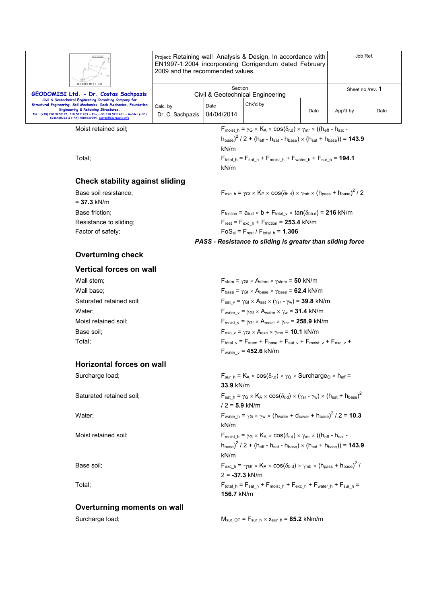| Ш                                                                                                                                                                                                                                                                                                                      | Project: Retaining wall Analysis & Design, In accordance with<br>EN1997-1:2004 incorporating Corrigendum dated February<br>2009 and the recommended values. |                    |          |      | Job Ref. |                  |
|------------------------------------------------------------------------------------------------------------------------------------------------------------------------------------------------------------------------------------------------------------------------------------------------------------------------|-------------------------------------------------------------------------------------------------------------------------------------------------------------|--------------------|----------|------|----------|------------------|
| GEODOMISI Ltd.<br>GEODOMISI Ltd. - Dr. Costas Sachpazis                                                                                                                                                                                                                                                                | Section<br>Civil & Geotechnical Engineering                                                                                                                 |                    |          |      |          | Sheet no./rev. 1 |
| Civil & Geotechnical Engineering Consulting Company for<br>Structural Engineering, Soil Mechanics, Rock Mechanics, Foundation<br><b>Engineering &amp; Retaining Structures.</b><br>Tel.: (+30) 210 5238127, 210 5711263 - Fax.:+30 210 5711461 - Mobile: (+30)<br>6936425722 & (+44) 7585939944, costas@sachpazis.info | Calc. by<br>Dr. C. Sachpazis                                                                                                                                | Date<br>04/04/2014 | Chk'd by | Date | App'd by | Date             |

Moist retained soil;  $F_{\text{moist\_h}} = \gamma_G \times K_A \times \cos(\delta_{r.d}) \times \gamma_{mr} \times ((h_{\text{eff}} - h_{\text{sat}} - h_{\text{eff}}))$ 

Total;  $F_{total h} = F_{sat h} + F_{moist h} + F_{water h} + F_{sur h} = 194.1$ 

**Check stability against sliding** 

| Base soil resistance:  | $F_{\text{exc\_h}} = \gamma_{\text{Gf}} \times K_{\text{P}} \times \cos(\delta_{\text{b.d}}) \times \gamma_{\text{mb}} \times (h_{\text{pass}} + h_{\text{base}})^2 / 2$ |
|------------------------|--------------------------------------------------------------------------------------------------------------------------------------------------------------------------|
| = <b>37.3</b> kN/m     |                                                                                                                                                                          |
| Base friction:         | $F_{\text{friction}} = a_{b.d} \times b + F_{\text{total v}} \times \tan(\delta_{\text{bb.d}}) = 216 \text{ kN/m}$                                                       |
| Resistance to sliding; | $F_{\text{rest}} = F_{\text{exc h}} + F_{\text{friction}} = 253.4$ kN/m                                                                                                  |
| Factor of safety:      | $FoS_{\rm sl} = F_{\rm rest} / F_{\rm total h} = 1.306$                                                                                                                  |
|                        | PASS - Resistance to sliding is greater than sliding force                                                                                                               |

kN/m

kN/m

#### **Overturning check**

#### **Vertical forces on wall**

| Wall stem;               | $F_{stem}$ = $\gamma_{GF} \times A_{stem} \times \gamma_{stem}$ = 50 kN/m                                                |
|--------------------------|--------------------------------------------------------------------------------------------------------------------------|
| Wall base;               | $F_{base} = \gamma_{Gf} \times A_{base} \times \gamma_{base} = 62.4$ kN/m                                                |
| Saturated retained soil; | $F_{\text{sat v}} = \gamma_{\text{Gf}} \times A_{\text{sat}} \times (\gamma_{\text{sr}} - \gamma_w) = 39.8 \text{ kN/m}$ |
| Water:                   | $F_{water}$ $_v = \gamma_{Gf} \times A_{water} \times \gamma_w = 31.4$ kN/m                                              |
| Moist retained soil;     | $F_{\text{moist v}} = \gamma_{\text{Gf}} \times A_{\text{moist}} \times \gamma_{\text{mr}} = 258.9 \text{ kN/m}$         |
| Base soil:               | $F_{\text{exc v}} = \gamma_{\text{Gf}} \times A_{\text{exc}} \times \gamma_{\text{mb}} = 10.1 \text{ kN/m}$              |
| Total:                   | $F_{\text{total v}} = F_{\text{stem}} + F_{\text{base}} + F_{\text{sat v}} + F_{\text{moist v}} + F_{\text{exc v}} +$    |
|                          | $\blacksquare$                                                                                                           |

#### **Horizontal forces on wall**

# **Overturning moments on wall**

Fwater\_v = **452.6** kN/m

 $(h_{\text{base}})^2$  / 2 + ( $h_{\text{eff}}$  -  $h_{\text{sat}}$  -  $h_{\text{base}} \times (h_{\text{sat}} + h_{\text{base}})) = 143.9$ 

Surcharge load; F<sub>sur\_h</sub> = K<sub>A</sub> × cos( $\delta_{r.d}$ ) ×  $\gamma_Q$  × Surcharge<sub>Q</sub> × h<sub>eff</sub> = **33.9** kN/m Saturated retained soil;  $F_{sat_h} = \gamma_G \times K_A \times \cos(\delta_{r.d}) \times (\gamma_{sr} - \gamma_w) \times (h_{sat} + h_{base})^2$ / 2 = **5.9** kN/m Water; F<sub>water\_h</sub> =  $\gamma$ <sub>G</sub>  $\times$   $\gamma_{\rm w}$   $\times$  (h<sub>water</sub> + d<sub>cover</sub> + h<sub>base</sub>)<sup>2</sup> / 2 = **10.3** kN/m Moist retained soil;  $F_{\text{moist } h} = \gamma_G \times K_A \times \cos(\delta_{r.d}) \times \gamma_{mr} \times ((h_{eff} - h_{sat} (h_{\text{base}})^2$  / 2 + ( $h_{\text{eff}}$  -  $h_{\text{sat}}$  -  $h_{\text{base}} \times (h_{\text{sat}} + h_{\text{base}})) = 143.9$ kN/m Base soil;  $F_{\text{exc}_h} = -\gamma_{\text{Gf}} \times K_P \times \cos(\delta_{\text{b.d}}) \times \gamma_{\text{mb}} \times (h_{\text{pass}} + h_{\text{base}})^2 /$ 2 = **-37.3** kN/m Total; F<sub>total h</sub> = F<sub>sat h</sub> + F<sub>moist h</sub> + F<sub>exc\_h</sub> + F<sub>water h</sub> + F<sub>sur\_h</sub> = **156.7** kN/m

Surcharge load;  $M_{sur\ OT} = F_{sur\ h} \times x_{sur\ h} = 85.2$  kNm/m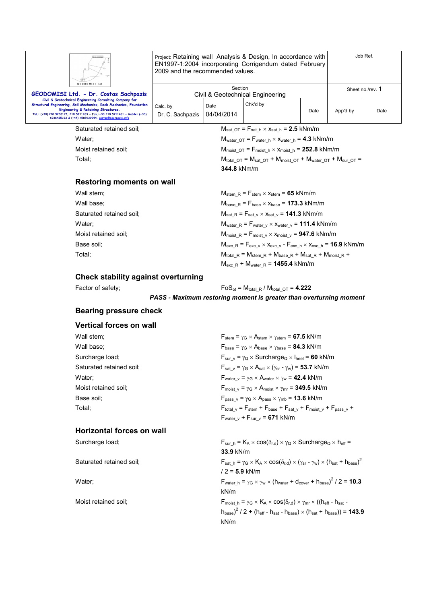

**GEODOMISIL Civil & Geotechn Strict Societion**<br>Stural Engineering,

Project: Retaining wall Analysis & Design, In accordance with EN1997-1:2004 incorporating Corrigendum dated February 2009 and the recommended values.

| GEODOMISI Ltd.<br>GEODOMISI Ltd. - Dr. Costas Sachpazis                                                                                                                                                                                                                                                     |                              | Section            | Civil & Geotechnical Engineering |      |          | Sheet no./rev. 1 |
|-------------------------------------------------------------------------------------------------------------------------------------------------------------------------------------------------------------------------------------------------------------------------------------------------------------|------------------------------|--------------------|----------------------------------|------|----------|------------------|
| Civil & Geotechnical Engineering Consulting Company for<br>Structural Engineering, Soil Mechanics, Rock Mechanics, Foundation<br>Engineering & Retaining Structures.<br>Tel.: (+30) 210 5238127, 210 5711263 - Fax.:+30 210 5711461 - Mobile: (+30)<br>6936425722 & (+44) 7585939944, costas@sachpazis.info | Calc, by<br>Dr. C. Sachpazis | Date<br>04/04/2014 | Chk'd by                         | Date | App'd by | Date             |

Saturated retained soil;  $M_{sat\_OT} = F_{sat\_h} \times x_{sat\_h} = 2.5$  kNm/m

Water;  $\mathsf{W}_{\text{water\_OT}} = \mathsf{F}_{\text{water\_h}} \times \mathsf{x}_{\text{water\_h}} = 4.3 \text{ kNm/m}$ 

Moist retained soil;  $M_{\text{moist\_OT}} = F_{\text{moist\_h}} \times x_{\text{moist\_h}} = 252.8 \text{ kNm/m}$ 

Total; The state of the Music of  $M_{total\,\,\text{OT}} = M_{sat\,\,\text{OT}} + M_{moist\,\,\text{OT}} + M_{water\,\,\text{OT}} + M_{sur\,\,\text{OT}} = 0.001$ **344.8** kNm/m

Job Ref.

#### **Restoring moments on wall**

| Wall stem;               | $M_{stem R}$ = $F_{stem}$ $\times$ $x_{stem}$ = 65 kNm/m                                                                           |
|--------------------------|------------------------------------------------------------------------------------------------------------------------------------|
| Wall base;               | $M_{base R} = F_{base} \times X_{base} = 173.3$ kNm/m                                                                              |
| Saturated retained soil; | $M_{\text{sat R}} = F_{\text{sat v}} \times x_{\text{sat v}} = 141.3 \text{ kNm/m}$                                                |
| Water:                   | $M_{water R} = F_{water V} \times X_{water V} = 111.4$ kNm/m                                                                       |
| Moist retained soil:     | $M_{\text{moist\_R}} = F_{\text{moist\_v}} \times x_{\text{moist\_v}} = 947.6 \text{ kNm/m}$                                       |
| Base soil;               | $M_{\text{exc\_R}} = F_{\text{exc\_v}} \times x_{\text{exc\_v}} - F_{\text{exc\_h}} \times x_{\text{exc\_h}} = 16.9 \text{ kNm/m}$ |
| Total:                   | $M_{total R}$ = $M_{stem R}$ + $M_{base R}$ + $M_{sat R}$ + $M_{moist R}$ +                                                        |
|                          | $M_{\text{exc R}}$ + $M_{\text{water R}}$ = 1455.4 kNm/m                                                                           |

#### **Check stability against overturning**

Factor of safety;  $FoS_{ot} = M_{total} R / M_{total} OT = 4.222$ 

*PASS - Maximum restoring moment is greater than overturning moment* 

#### **Bearing pressure check**

#### **Vertical forces on wall**

| Wall stem;               | $F_{stem}$ = $\gamma$ <sub>G</sub> $\times$ A <sub>stem</sub> $\times$ $\gamma$ <sub>stem</sub> = <b>67.5</b> kN/m               |
|--------------------------|----------------------------------------------------------------------------------------------------------------------------------|
| Wall base;               | $F_{base} = \gamma_G \times A_{base} \times \gamma_{base} = 84.3$ kN/m                                                           |
| Surcharge load;          | $F_{\text{sur v}} = \gamma_{Q} \times \text{Surcharge}_{Q} \times I_{\text{heel}} = 60 \text{ kN/m}$                             |
| Saturated retained soil; | $F_{\text{sat v}} = \gamma_{\text{G}} \times A_{\text{sat}} \times (\gamma_{\text{sr}} - \gamma_{\text{w}}) = 53.7 \text{ kN/m}$ |
| Water:                   | $F_{\text{water v}} = \gamma_G \times A_{\text{water}} \times \gamma_W = 42.4 \text{ kN/m}$                                      |
| Moist retained soil:     | $F_{\text{moist v}} = \gamma_G \times A_{\text{moist}} \times \gamma_{\text{mr}} = 349.5 \text{ kN/m}$                           |
| Base soil:               | $F_{\text{pass v}} = \gamma_G \times A_{\text{pass}} \times \gamma_{\text{mb}} = 13.6 \text{ kN/m}$                              |
| Total;                   | $F_{\text{total v}} = F_{\text{stem}} + F_{\text{base}} + F_{\text{sat v}} + F_{\text{moist v}} + F_{\text{pass v}} +$           |
|                          |                                                                                                                                  |

#### **Horizontal forces on wall**

 $F_{\text{water\_v}} + F_{\text{sur\_v}} = 671 \text{ kN/m}$ Surcharge load; For  $F_{\text{sur}}$   $\vdash K_A \times \cos(\delta_{r,d}) \times \gamma_Q \times \text{Surcharge}_Q \times h_{\text{eff}} =$ **33.9** kN/m

Saturated retained soil;  $F_{sat_h} = \gamma_G \times K_A \times \cos(\delta_{r.d}) \times (\gamma_{sr} - \gamma_w) \times (h_{sat} + h_{base})^2$ / 2 = **5.9** kN/m Water;  $\mathsf{F}_{\mathsf{water\_h}} = \gamma_{\mathsf{G}} \times \gamma_{\mathsf{w}} \times (\mathsf{h}_{\mathsf{water}} + \mathsf{d}_{\mathsf{cover}} + \mathsf{h}_{\mathsf{base}})^2 / 2 = 10.3$ kN/m Moist retained soil;  $F_{\text{moist\_h}} = \gamma_G \times K_A \times \cos(\delta_{r.d}) \times \gamma_{mr} \times ((h_{\text{eff}} - h_{\text{sat}} - h_{\text{eff}}))$  $(h_{\text{base}})^2$  / 2 + ( $h_{\text{eff}}$  -  $h_{\text{sat}}$  -  $h_{\text{base}} \times (h_{\text{sat}} + h_{\text{base}})) = 143.9$ kN/m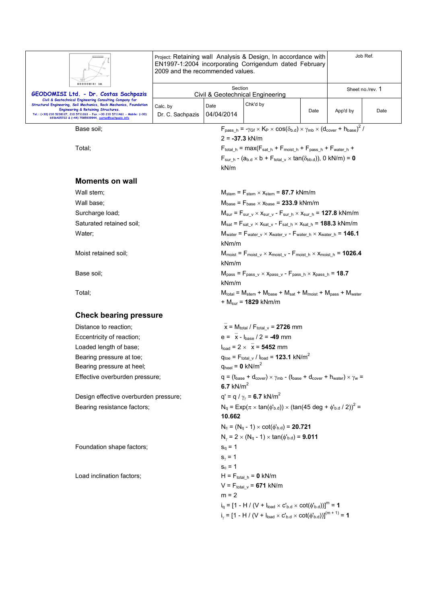|                                                                                                                                                                            | Project: Retaining wall Analysis & Design, In accordance with<br>EN1997-1:2004 incorporating Corrigendum dated February<br>2009 and the recommended values. |                                                                                                                                                                                            |                                                                                       |                                                                                                                                 |                  | Job Ref. |  |
|----------------------------------------------------------------------------------------------------------------------------------------------------------------------------|-------------------------------------------------------------------------------------------------------------------------------------------------------------|--------------------------------------------------------------------------------------------------------------------------------------------------------------------------------------------|---------------------------------------------------------------------------------------|---------------------------------------------------------------------------------------------------------------------------------|------------------|----------|--|
| GEODOMISI Ltd.<br>GEODOMISI Ltd. - Dr. Costas Sachpazis                                                                                                                    |                                                                                                                                                             | Section                                                                                                                                                                                    | Civil & Geotechnical Engineering                                                      |                                                                                                                                 | Sheet no./rev. 1 |          |  |
| Civil & Geotechnical Engineering Consulting Company for<br>Structural Engineering, Soil Mechanics, Rock Mechanics, Foundation                                              | Calc. by                                                                                                                                                    | Date                                                                                                                                                                                       | Chk'd by                                                                              |                                                                                                                                 |                  |          |  |
| Engineering & Retaining Structures.<br>Tel.: (+30) 210 5238127, 210 5711263 - Fax.:+30 210 5711461 - Mobile: (+30)<br>6936425722 & (+44) 7585939944, costas@sachpazis.info | Dr. C. Sachpazis                                                                                                                                            | 04/04/2014                                                                                                                                                                                 |                                                                                       | Date                                                                                                                            | App'd by         | Date     |  |
| Base soil:                                                                                                                                                                 |                                                                                                                                                             | $F_{\text{pass h}} = -\gamma_{\text{Gf}} \times K_{\text{P}} \times \cos(\delta_{\text{b.d}}) \times \gamma_{\text{mb}} \times (d_{\text{cover}} + h_{\text{base}})^2$<br>$2 = -37.3$ kN/m |                                                                                       |                                                                                                                                 |                  |          |  |
| Total;                                                                                                                                                                     |                                                                                                                                                             |                                                                                                                                                                                            |                                                                                       | $F_{total h} = max(F_{sat h} + F_{moist h} + F_{pass h} + F_{water h} +$                                                        |                  |          |  |
|                                                                                                                                                                            |                                                                                                                                                             | kN/m                                                                                                                                                                                       |                                                                                       | $F_{\text{sur-h}}$ - (a <sub>b.d</sub> $\times$ b + $F_{\text{total_v}} \times \tan(\delta_{\text{bb.d}})$ ), 0 kN/m) = 0       |                  |          |  |
| <b>Moments on wall</b>                                                                                                                                                     |                                                                                                                                                             |                                                                                                                                                                                            |                                                                                       |                                                                                                                                 |                  |          |  |
| Wall stem;                                                                                                                                                                 |                                                                                                                                                             |                                                                                                                                                                                            | $M_{stem}$ = $F_{stem}$ $\times$ $x_{stem}$ = 87.7 kNm/m                              |                                                                                                                                 |                  |          |  |
| Wall base;                                                                                                                                                                 |                                                                                                                                                             |                                                                                                                                                                                            | $M_{base}$ = $F_{base} \times X_{base}$ = 233.9 kNm/m                                 |                                                                                                                                 |                  |          |  |
| Surcharge load;                                                                                                                                                            |                                                                                                                                                             |                                                                                                                                                                                            |                                                                                       | $M_{\text{sur}} = F_{\text{sur v}} \times X_{\text{sur v}} - F_{\text{sur h}} \times X_{\text{sur h}} = 127.8 \text{ kNm/m}$    |                  |          |  |
| Saturated retained soil:                                                                                                                                                   |                                                                                                                                                             |                                                                                                                                                                                            |                                                                                       | $M_{sat}$ = $F_{sat_v} \times x_{sat_v}$ - $F_{sat_h} \times x_{sat_h}$ = 188.3 kNm/m                                           |                  |          |  |
| Water;                                                                                                                                                                     | $M_{water} = F_{water\_v} \times x_{water\_v} - F_{water\_h} \times x_{water\_h} = 146.1$<br>kNm/m                                                          |                                                                                                                                                                                            |                                                                                       |                                                                                                                                 |                  |          |  |
| Moist retained soil;                                                                                                                                                       |                                                                                                                                                             | kNm/m                                                                                                                                                                                      |                                                                                       | $M_{\text{moist}} = F_{\text{moist\_v}} \times x_{\text{moist\_v}} - F_{\text{moist\_h}} \times x_{\text{moist\_h}} = 1026.4$   |                  |          |  |
| Base soil:                                                                                                                                                                 |                                                                                                                                                             | kNm/m                                                                                                                                                                                      |                                                                                       | $M_{pass}$ = $F_{pass \text{ } v}$ $\times$ $x_{pass \text{ } v}$ - $F_{pass \text{ } h}$ $\times$ $x_{pass \text{ } h}$ = 18.7 |                  |          |  |
| Total;                                                                                                                                                                     |                                                                                                                                                             |                                                                                                                                                                                            | + $M_{\text{sur}}$ = 1829 kNm/m                                                       | $M_{\text{total}} = M_{\text{stem}} + M_{\text{base}} + M_{\text{sat}} + M_{\text{moist}} + M_{\text{pass}} + M_{\text{water}}$ |                  |          |  |
| <b>Check bearing pressure</b>                                                                                                                                              |                                                                                                                                                             |                                                                                                                                                                                            |                                                                                       |                                                                                                                                 |                  |          |  |
| Distance to reaction;                                                                                                                                                      |                                                                                                                                                             |                                                                                                                                                                                            | $\bar{x}$ = M <sub>total</sub> / F <sub>total v</sub> = 2726 mm                       |                                                                                                                                 |                  |          |  |
| Eccentricity of reaction;                                                                                                                                                  |                                                                                                                                                             |                                                                                                                                                                                            | $e = \bar{x} - I_{base} / 2 = -49$ mm                                                 |                                                                                                                                 |                  |          |  |
| Loaded length of base;                                                                                                                                                     |                                                                                                                                                             |                                                                                                                                                                                            | $I_{load} = 2 \times \overline{x} = 5452$ mm                                          |                                                                                                                                 |                  |          |  |
| Bearing pressure at toe;                                                                                                                                                   |                                                                                                                                                             |                                                                                                                                                                                            | $q_{\text{toe}} = F_{\text{total} \text{v}} / I_{\text{load}} = 123.1 \text{ kN/m}^2$ |                                                                                                                                 |                  |          |  |
| Bearing pressure at heel;<br>Effective overburden pressure;                                                                                                                |                                                                                                                                                             | $q_{\text{heel}} = 0 \text{ kN/m}^2$                                                                                                                                                       |                                                                                       | $q = (t_{base} + d_{cover}) \times \gamma_{mb}$ - $(t_{base} + d_{cover} + h_{water}) \times \gamma_w$                          |                  |          |  |
|                                                                                                                                                                            |                                                                                                                                                             | 6.7 $kN/m2$                                                                                                                                                                                |                                                                                       |                                                                                                                                 |                  |          |  |
| Design effective overburden pressure;<br>Bearing resistance factors;                                                                                                       |                                                                                                                                                             |                                                                                                                                                                                            | $q' = q / \gamma_v = 6.7$ kN/m <sup>2</sup>                                           | $N_q = Exp(\pi \times tan(\phi_{b.d})) \times (tan(45 deg + \phi_{b.d} / 2))^2 =$                                               |                  |          |  |
|                                                                                                                                                                            |                                                                                                                                                             | 10.662                                                                                                                                                                                     |                                                                                       |                                                                                                                                 |                  |          |  |
|                                                                                                                                                                            |                                                                                                                                                             |                                                                                                                                                                                            | $N_c = (N_q - 1) \times \cot(\phi_{b.d}) = 20.721$                                    |                                                                                                                                 |                  |          |  |
|                                                                                                                                                                            |                                                                                                                                                             |                                                                                                                                                                                            | $N_v = 2 \times (N_q - 1) \times \tan(\phi_{b,d}) = 9.011$                            |                                                                                                                                 |                  |          |  |
| Foundation shape factors;                                                                                                                                                  |                                                                                                                                                             | $s_q = 1$                                                                                                                                                                                  |                                                                                       |                                                                                                                                 |                  |          |  |
|                                                                                                                                                                            |                                                                                                                                                             | $s_{\gamma} = 1$                                                                                                                                                                           |                                                                                       |                                                                                                                                 |                  |          |  |
| Load inclination factors;                                                                                                                                                  |                                                                                                                                                             | $s_c = 1$                                                                                                                                                                                  | $H = F_{total h} = 0$ kN/m                                                            |                                                                                                                                 |                  |          |  |
|                                                                                                                                                                            |                                                                                                                                                             |                                                                                                                                                                                            | $V = F_{total, v} = 671$ kN/m                                                         |                                                                                                                                 |                  |          |  |
|                                                                                                                                                                            |                                                                                                                                                             | $m = 2$                                                                                                                                                                                    |                                                                                       |                                                                                                                                 |                  |          |  |
|                                                                                                                                                                            |                                                                                                                                                             |                                                                                                                                                                                            |                                                                                       | $i_q = [1 - H / (V + I_{load} \times C_{b.d} \times \cot(\phi_{b.d}))]^m = 1$                                                   |                  |          |  |
|                                                                                                                                                                            |                                                                                                                                                             |                                                                                                                                                                                            |                                                                                       | $i_{y} = [1 - H / (V + I_{load} \times C_{b.d} \times \cot(\phi_{b.d}))]^{(m+1)} = 1$                                           |                  |          |  |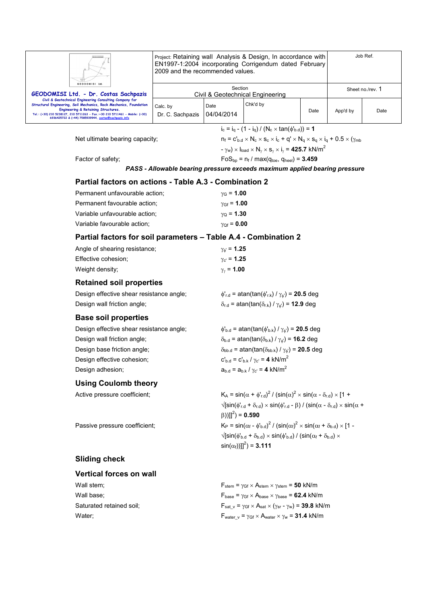|                                                                                                                                                                                                                                                     | 2009 and the recommended values.            |                                           | Project: Retaining wall Analysis & Design, In accordance with<br>EN1997-1:2004 incorporating Corrigendum dated February                                                         |                  | Job Ref. |      |
|-----------------------------------------------------------------------------------------------------------------------------------------------------------------------------------------------------------------------------------------------------|---------------------------------------------|-------------------------------------------|---------------------------------------------------------------------------------------------------------------------------------------------------------------------------------|------------------|----------|------|
| <b>GEODOMISI Ltd</b><br>GEODOMISI Ltd. - Dr. Costas Sachpazis                                                                                                                                                                                       | Section<br>Civil & Geotechnical Engineering |                                           |                                                                                                                                                                                 | Sheet no./rev. 1 |          |      |
| Civil & Geotechnical Engineering Consulting Company for<br>Structural Engineering, Soil Mechanics, Rock Mechanics, Foundation<br>Engineering & Retaining Structures.<br>Tel.: (+30) 210 5238127, 210 5711263 - Fax.:+30 210 5711461 - Mobile: (+30) | Calc. by<br>Dr. C. Sachpazis                | Date<br>04/04/2014                        | Chk'd by                                                                                                                                                                        | Date             | App'd by | Date |
| 6936425722 & (+44) 7585939944, costas@sachpazis.info                                                                                                                                                                                                |                                             |                                           |                                                                                                                                                                                 |                  |          |      |
|                                                                                                                                                                                                                                                     |                                             |                                           | $i_c = i_q - (1 - i_q) / (N_c \times tan(\phi_{b.d})) = 1$<br>$n_f = c'_{b,d} \times N_c \times s_c \times i_c + q' \times N_q \times s_q \times i_q + 0.5 \times (\gamma_{mb}$ |                  |          |      |
| Net ultimate bearing capacity;                                                                                                                                                                                                                      |                                             |                                           | $-\gamma_w$ ) $\times$ $I_{load} \times N_v \times S_v \times I_v =$ 425.7 kN/m <sup>2</sup>                                                                                    |                  |          |      |
| Factor of safety;                                                                                                                                                                                                                                   |                                             |                                           | $FoS_{bp} = n_f / max(q_{toe}, q_{heel}) = 3.459$                                                                                                                               |                  |          |      |
|                                                                                                                                                                                                                                                     |                                             |                                           | PASS - Allowable bearing pressure exceeds maximum applied bearing pressure                                                                                                      |                  |          |      |
| Partial factors on actions - Table A.3 - Combination 2                                                                                                                                                                                              |                                             |                                           |                                                                                                                                                                                 |                  |          |      |
| Permanent unfavourable action:                                                                                                                                                                                                                      |                                             | $\gamma$ <sub>G</sub> = 1.00              |                                                                                                                                                                                 |                  |          |      |
| Permanent favourable action;                                                                                                                                                                                                                        |                                             | $\gamma_{\rm Gf} = 1.00$                  |                                                                                                                                                                                 |                  |          |      |
| Variable unfavourable action;                                                                                                                                                                                                                       |                                             | $\gamma_{\rm O} = 1.30$                   |                                                                                                                                                                                 |                  |          |      |
| Variable favourable action;                                                                                                                                                                                                                         |                                             | $\gamma_{Qf} = 0.00$                      |                                                                                                                                                                                 |                  |          |      |
| Partial factors for soil parameters - Table A.4 - Combination 2                                                                                                                                                                                     |                                             |                                           |                                                                                                                                                                                 |                  |          |      |
|                                                                                                                                                                                                                                                     |                                             |                                           |                                                                                                                                                                                 |                  |          |      |
| Angle of shearing resistance;<br>Effective cohesion;                                                                                                                                                                                                |                                             | $\gamma_{\phi} = 1.25$<br>$y_{c'} = 1.25$ |                                                                                                                                                                                 |                  |          |      |
| Weight density;                                                                                                                                                                                                                                     |                                             | $\gamma_{\gamma}$ = 1.00                  |                                                                                                                                                                                 |                  |          |      |
|                                                                                                                                                                                                                                                     |                                             |                                           |                                                                                                                                                                                 |                  |          |      |
| <b>Retained soil properties</b>                                                                                                                                                                                                                     |                                             |                                           |                                                                                                                                                                                 |                  |          |      |
| Design effective shear resistance angle;                                                                                                                                                                                                            |                                             |                                           | $\phi'_{r.d}$ = atan(tan( $\phi'_{r.k}$ ) / $\gamma_{\phi'}$ ) = 20.5 deg                                                                                                       |                  |          |      |
| Design wall friction angle;                                                                                                                                                                                                                         |                                             |                                           | $\delta_{r.d}$ = atan(tan( $\delta_{r.k}$ ) / $\gamma_{\phi}$ ) = 12.9 deg                                                                                                      |                  |          |      |
| <b>Base soil properties</b>                                                                                                                                                                                                                         |                                             |                                           |                                                                                                                                                                                 |                  |          |      |
| Design effective shear resistance angle;                                                                                                                                                                                                            |                                             |                                           | $\phi_{b,d}$ = atan(tan( $\phi_{b,k}$ ) / $\gamma_{d}$ ) = 20.5 deg                                                                                                             |                  |          |      |
| Design wall friction angle;                                                                                                                                                                                                                         |                                             |                                           | $\delta_{b.d}$ = atan(tan( $\delta_{b.k}$ ) / $\gamma_{\phi}$ ) = <b>16.2</b> deg                                                                                               |                  |          |      |
| Design base friction angle;                                                                                                                                                                                                                         |                                             |                                           | $\delta_{\text{bb.d}}$ = atan(tan( $\delta_{\text{bb.k}}$ ) / $\gamma_{\phi}$ ) = 20.5 deg                                                                                      |                  |          |      |
| Design effective cohesion;                                                                                                                                                                                                                          |                                             |                                           | $C_{\rm b,d} = C_{\rm b,k} / \gamma_{\rm c} = 4 \text{ kN/m}^2$                                                                                                                 |                  |          |      |
| Design adhesion;                                                                                                                                                                                                                                    |                                             |                                           | $a_{b.d} = a_{b.k} / \gamma_{c'} = 4 kN/m^2$                                                                                                                                    |                  |          |      |
| <b>Using Coulomb theory</b>                                                                                                                                                                                                                         |                                             |                                           |                                                                                                                                                                                 |                  |          |      |
| Active pressure coefficient;                                                                                                                                                                                                                        |                                             |                                           | $K_A = \sin(\alpha + \phi'_{r,d})^2 / (\sin(\alpha)^2 \times \sin(\alpha - \delta_{r,d}) \times [1 +$                                                                           |                  |          |      |
|                                                                                                                                                                                                                                                     |                                             | $(\beta))$ ]] <sup>2</sup> ) = 0.590      | $\sqrt{\sin(\phi_{r,d} + \delta_{r,d})} \times \sin(\phi_{r,d} - \beta) / (\sin(\alpha - \delta_{r,d}) \times \sin(\alpha + \beta))$                                            |                  |          |      |
| Passive pressure coefficient;                                                                                                                                                                                                                       |                                             |                                           | $K_P = \sin(\alpha_f - \phi_{b,d})^2 / (\sin(\alpha_f)^2 \times \sin(\alpha_f + \delta_{b,d}) \times [1 -$                                                                      |                  |          |      |
|                                                                                                                                                                                                                                                     |                                             |                                           | $\sqrt{\left[\sin(\phi_{b,d} + \delta_{b,d}) \times \sin(\phi_{b,d}) / (\sin(\alpha_f + \delta_{b,d}) \times \right]}$<br>$\sin(\alpha_f)$ ]] <sup>2</sup> ) = <b>3.111</b>     |                  |          |      |
| <b>Sliding check</b>                                                                                                                                                                                                                                |                                             |                                           |                                                                                                                                                                                 |                  |          |      |
| <b>Vertical forces on wall</b>                                                                                                                                                                                                                      |                                             |                                           |                                                                                                                                                                                 |                  |          |      |
| Wall stem;                                                                                                                                                                                                                                          |                                             |                                           | $F_{stem}$ = $\gamma_{GF} \times A_{stem} \times \gamma_{stem}$ = 50 kN/m                                                                                                       |                  |          |      |
| Wall base;                                                                                                                                                                                                                                          |                                             |                                           | $F_{base} = \gamma_{Gf} \times A_{base} \times \gamma_{base} = 62.4$ kN/m                                                                                                       |                  |          |      |
| Saturated retained soil;                                                                                                                                                                                                                            |                                             |                                           | $F_{\text{sat v}} = \gamma_{\text{Gf}} \times A_{\text{sat}} \times (\gamma_{\text{sr}} - \gamma_w) = 39.8 \text{ kN/m}$                                                        |                  |          |      |
| Water;                                                                                                                                                                                                                                              |                                             |                                           | $F_{water v} = \gamma_{Gf} \times A_{water} \times \gamma_w = 31.4$ kN/m                                                                                                        |                  |          |      |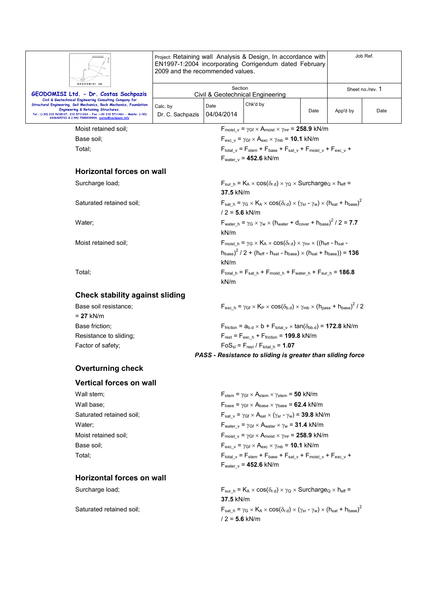|                                                                                                                                                                            | Project: Retaining wall Analysis & Design, In accordance with<br>EN1997-1:2004 incorporating Corrigendum dated February<br>2009 and the recommended values. |                                                                                                                                                                          | Job Ref.                                                                                                                                                                |      |          |                  |
|----------------------------------------------------------------------------------------------------------------------------------------------------------------------------|-------------------------------------------------------------------------------------------------------------------------------------------------------------|--------------------------------------------------------------------------------------------------------------------------------------------------------------------------|-------------------------------------------------------------------------------------------------------------------------------------------------------------------------|------|----------|------------------|
| GEODOMISI Ltd.<br>GEODOMISI Ltd. - Dr. Costas Sachpazis                                                                                                                    |                                                                                                                                                             | Section                                                                                                                                                                  | Civil & Geotechnical Engineering                                                                                                                                        |      |          | Sheet no./rev. 1 |
| Civil & Geotechnical Engineering Consulting Company for<br>Structural Engineering, Soil Mechanics, Rock Mechanics, Foundation                                              | Calc. by                                                                                                                                                    | Date                                                                                                                                                                     | Chk'd by                                                                                                                                                                |      |          |                  |
| Engineering & Retaining Structures.<br>Tel.: (+30) 210 5238127, 210 5711263 - Fax.:+30 210 5711461 - Mobile: (+30)<br>6936425722 & (+44) 7585939944, costas@sachpazis.info | Dr. C. Sachpazis                                                                                                                                            | 04/04/2014                                                                                                                                                               |                                                                                                                                                                         | Date | App'd by | Date             |
| Moist retained soil:                                                                                                                                                       | $F_{\text{moist v}} = \gamma_{\text{Gf}} \times A_{\text{moist}} \times \gamma_{\text{mr}} = 258.9 \text{ kN/m}$                                            |                                                                                                                                                                          |                                                                                                                                                                         |      |          |                  |
| Base soil;                                                                                                                                                                 | $F_{\text{exc v}} = \gamma_{\text{Gf}} \times A_{\text{exc}} \times \gamma_{\text{mb}} = 10.1 \text{ kN/m}$                                                 |                                                                                                                                                                          |                                                                                                                                                                         |      |          |                  |
| Total;                                                                                                                                                                     |                                                                                                                                                             |                                                                                                                                                                          | $F_{\text{total }v} = F_{\text{stem}} + F_{\text{base}} + F_{\text{sat }v} + F_{\text{moist }v} + F_{\text{exc }v} +$<br>$F_{\text{water v}} = 452.6$ kN/m              |      |          |                  |
| <b>Horizontal forces on wall</b>                                                                                                                                           |                                                                                                                                                             |                                                                                                                                                                          |                                                                                                                                                                         |      |          |                  |
| Surcharge load;                                                                                                                                                            |                                                                                                                                                             | 37.5 kN/m                                                                                                                                                                | $F_{\text{sur h}} = K_A \times \cos(\delta_{r.d}) \times \gamma_Q \times \text{Surcharge}_Q \times h_{\text{eff}} =$                                                    |      |          |                  |
| Saturated retained soil;                                                                                                                                                   |                                                                                                                                                             | $F_{\text{sat h}} = \gamma_G \times K_A \times \cos(\delta_{r,d}) \times (\gamma_{\text{sr}} - \gamma_w) \times (h_{\text{sat}} + h_{\text{base}})^2$<br>$/2 = 5.6$ kN/m |                                                                                                                                                                         |      |          |                  |
| Water;                                                                                                                                                                     |                                                                                                                                                             | $F_{\text{water h}} = \gamma_G \times \gamma_W \times (h_{\text{water}} + d_{\text{cover}} + h_{\text{base}})^2 / 2 = 7.7$<br>kN/m                                       |                                                                                                                                                                         |      |          |                  |
| Moist retained soil;                                                                                                                                                       |                                                                                                                                                             | $F_{\text{moist h}} = \gamma_G \times K_A \times \cos(\delta_{r,d}) \times \gamma_{\text{mr}} \times ((h_{\text{eff}} - h_{\text{sat}} - h_{\text{sat}})))$              |                                                                                                                                                                         |      |          |                  |
|                                                                                                                                                                            | $h_{base}$ ) <sup>2</sup> / 2 + ( $h_{eff}$ - $h_{sat}$ - $h_{base}$ ) × ( $h_{sat}$ + $h_{base}$ )) = <b>136</b>                                           |                                                                                                                                                                          |                                                                                                                                                                         |      |          |                  |
|                                                                                                                                                                            | kN/m                                                                                                                                                        |                                                                                                                                                                          |                                                                                                                                                                         |      |          |                  |
| Total:                                                                                                                                                                     | $F_{total_h} = F_{sat_h} + F_{moist_h} + F_{water_h} + F_{sur_h} = 186.8$<br>kN/m                                                                           |                                                                                                                                                                          |                                                                                                                                                                         |      |          |                  |
| <b>Check stability against sliding</b>                                                                                                                                     |                                                                                                                                                             |                                                                                                                                                                          |                                                                                                                                                                         |      |          |                  |
| Base soil resistance:<br>$= 27$ kN/m                                                                                                                                       |                                                                                                                                                             |                                                                                                                                                                          | $F_{\text{exc-h}} = \gamma_{\text{Gf}} \times K_{\text{P}} \times \cos(\delta_{\text{b.d}}) \times \gamma_{\text{mb}} \times (h_{\text{pass}} + h_{\text{base}})^2 / 2$ |      |          |                  |
| Base friction;                                                                                                                                                             |                                                                                                                                                             |                                                                                                                                                                          | $F_{\text{friction}} = a_{b.d} \times b + F_{\text{total v}} \times \tan(\delta_{\text{bb.d}}) = 172.8 \text{ kN/m}$                                                    |      |          |                  |
| Resistance to sliding;                                                                                                                                                     |                                                                                                                                                             |                                                                                                                                                                          | $F_{rest} = F_{exc h} + F_{friction} = 199.8 kN/m$                                                                                                                      |      |          |                  |
| Factor of safety;                                                                                                                                                          |                                                                                                                                                             |                                                                                                                                                                          | $FoS_{sl} = F_{rest} / F_{total h} = 1.07$                                                                                                                              |      |          |                  |
|                                                                                                                                                                            |                                                                                                                                                             |                                                                                                                                                                          | PASS - Resistance to sliding is greater than sliding force                                                                                                              |      |          |                  |
| <b>Overturning check</b>                                                                                                                                                   |                                                                                                                                                             |                                                                                                                                                                          |                                                                                                                                                                         |      |          |                  |
| <b>Vertical forces on wall</b>                                                                                                                                             |                                                                                                                                                             |                                                                                                                                                                          |                                                                                                                                                                         |      |          |                  |
| Wall stem;                                                                                                                                                                 |                                                                                                                                                             |                                                                                                                                                                          | $F_{stem}$ = $\gamma_{Gf} \times A_{stem} \times \gamma_{stem}$ = 50 kN/m                                                                                               |      |          |                  |
| Wall base;                                                                                                                                                                 |                                                                                                                                                             |                                                                                                                                                                          | $F_{\text{base}} = \gamma_{\text{Gf}} \times A_{\text{base}} \times \gamma_{\text{base}} = 62.4 \text{ kN/m}$                                                           |      |          |                  |
| Saturated retained soil:                                                                                                                                                   |                                                                                                                                                             |                                                                                                                                                                          | $F_{sat_v} = \gamma_{Gf} \times A_{sat} \times (\gamma_{sr} - \gamma_w) = 39.8$ kN/m                                                                                    |      |          |                  |
| Water;                                                                                                                                                                     |                                                                                                                                                             |                                                                                                                                                                          | $F_{water v} = \gamma_{Gf} \times A_{water} \times \gamma_w = 31.4$ kN/m                                                                                                |      |          |                  |
| Moist retained soil:                                                                                                                                                       |                                                                                                                                                             |                                                                                                                                                                          | $F_{\text{moist v}} = \gamma_{\text{Gf}} \times A_{\text{moist}} \times \gamma_{\text{mr}} = 258.9 \text{ kN/m}$                                                        |      |          |                  |
| Base soil:                                                                                                                                                                 |                                                                                                                                                             |                                                                                                                                                                          | $F_{\text{exc v}} = \gamma_{\text{Gf}} \times A_{\text{exc}} \times \gamma_{\text{mb}} = 10.1 \text{ kN/m}$                                                             |      |          |                  |
| Total;                                                                                                                                                                     |                                                                                                                                                             |                                                                                                                                                                          | $F_{\text{total_v}} = F_{\text{stem}} + F_{\text{base}} + F_{\text{sat_v}} + F_{\text{moist_v}} + F_{\text{exc_v}} +$<br>$F_{\text{water v}} = 452.6 \text{ kN/m}$      |      |          |                  |
| <b>Horizontal forces on wall</b>                                                                                                                                           |                                                                                                                                                             |                                                                                                                                                                          |                                                                                                                                                                         |      |          |                  |
| Surcharge load;                                                                                                                                                            |                                                                                                                                                             | 37.5 kN/m                                                                                                                                                                | $F_{\text{sur h}} = K_A \times \cos(\delta_{r.d}) \times \gamma_Q \times \text{Surcharge}_Q \times h_{\text{eff}} =$                                                    |      |          |                  |
| Saturated retained soil;                                                                                                                                                   |                                                                                                                                                             | $/2 = 5.6$ kN/m                                                                                                                                                          | $F_{\text{sat h}} = \gamma_G \times K_A \times \cos(\delta_{r,d}) \times (\gamma_{\text{sr}} - \gamma_w) \times (h_{\text{sat}} + h_{\text{base}})^2$                   |      |          |                  |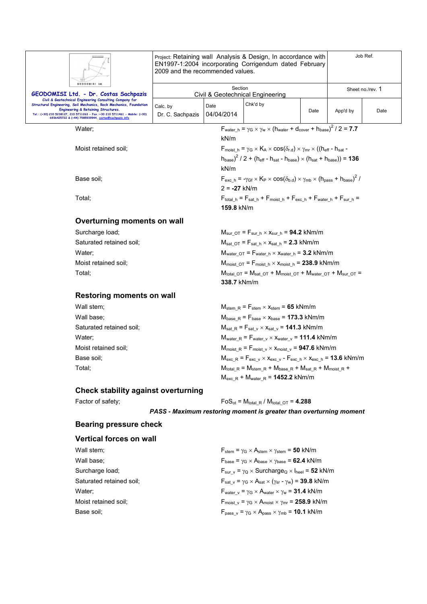|                                                                                                                                                                            | 2009 and the recommended values. |                   | Project: Retaining wall Analysis & Design, In accordance with<br>EN1997-1:2004 incorporating Corrigendum dated February                                                |      |          | Job Ref.         |
|----------------------------------------------------------------------------------------------------------------------------------------------------------------------------|----------------------------------|-------------------|------------------------------------------------------------------------------------------------------------------------------------------------------------------------|------|----------|------------------|
| GEODOMISI Ltd.<br>GEODOMISI Ltd. - Dr. Costas Sachpazis                                                                                                                    |                                  | Section           | Civil & Geotechnical Engineering                                                                                                                                       |      |          | Sheet no./rev. 1 |
| Civil & Geotechnical Engineering Consulting Company for<br>Structural Engineering, Soil Mechanics, Rock Mechanics, Foundation                                              | Calc. by                         | Date              | Chk'd by                                                                                                                                                               |      |          |                  |
| Engineering & Retaining Structures.<br>Tel.: (+30) 210 5238127, 210 5711263 - Fax.:+30 210 5711461 - Mobile: (+30)<br>6936425722 & (+44) 7585939944, costas@sachpazis.info | Dr. C. Sachpazis                 | 04/04/2014        |                                                                                                                                                                        | Date | App'd by | Date             |
| Water;                                                                                                                                                                     |                                  |                   | $F_{water_h} = \gamma_G \times \gamma_W \times (h_{water} + d_{cover} + h_{base})^2 / 2 = 7.7$                                                                         |      |          |                  |
|                                                                                                                                                                            |                                  | kN/m              |                                                                                                                                                                        |      |          |                  |
| Moist retained soil;                                                                                                                                                       |                                  |                   | $F_{\text{moist h}} = \gamma_G \times K_A \times \cos(\delta_{\text{rd}}) \times \gamma_{\text{mr}} \times ((h_{\text{eff}} - h_{\text{sat}} -$                        |      |          |                  |
|                                                                                                                                                                            |                                  | kN/m              | $(h_{base})^2$ / 2 + (h <sub>eff</sub> - h <sub>sat</sub> - h <sub>base</sub> ) × (h <sub>sat</sub> + h <sub>base</sub> )) = <b>136</b>                                |      |          |                  |
| Base soil;                                                                                                                                                                 |                                  |                   | $F_{\text{exc h}} = -\gamma_{\text{Gf}} \times K_{\text{P}} \times \cos(\delta_{\text{b.d}}) \times \gamma_{\text{mb}} \times (h_{\text{pass}} + h_{\text{base}})^2$ / |      |          |                  |
| Total;                                                                                                                                                                     |                                  | $2 = -27$ kN/m    | $F_{\text{total h}} = F_{\text{sat h}} + F_{\text{moist h}} + F_{\text{exc h}} + F_{\text{water h}} + F_{\text{sur h}} =$                                              |      |          |                  |
|                                                                                                                                                                            |                                  | <b>159.8</b> kN/m |                                                                                                                                                                        |      |          |                  |
| Overturning moments on wall                                                                                                                                                |                                  |                   |                                                                                                                                                                        |      |          |                  |
| Surcharge load;                                                                                                                                                            |                                  |                   | $M_{\text{sur OT}} = F_{\text{sur h}} \times x_{\text{sur h}} = 94.2 \text{ kNm/m}$                                                                                    |      |          |                  |
| Saturated retained soil;                                                                                                                                                   |                                  |                   | $M_{\text{sat OT}} = F_{\text{sat h}} \times x_{\text{sat h}} = 2.3 \text{ kNm/m}$                                                                                     |      |          |                  |
| Water:                                                                                                                                                                     |                                  |                   | $M_{water\ OT}$ = $F_{water\ h} \times x_{water\ h}$ = 3.2 kNm/m                                                                                                       |      |          |                  |
| Moist retained soil;                                                                                                                                                       |                                  |                   | $M_{\text{moist OT}} = F_{\text{moist h}} \times x_{\text{moist h}} = 238.9 \text{ kNm/m}$                                                                             |      |          |                  |
| Total;                                                                                                                                                                     |                                  | 338.7 kNm/m       | $M_{\text{total OT}} = M_{\text{sat OT}} + M_{\text{moist OT}} + M_{\text{water OT}} + M_{\text{sur OT}} =$                                                            |      |          |                  |
| <b>Restoring moments on wall</b>                                                                                                                                           |                                  |                   |                                                                                                                                                                        |      |          |                  |
| Wall stem;                                                                                                                                                                 |                                  |                   | $M_{stem R} = F_{stem} \times x_{stem} = 65$ kNm/m                                                                                                                     |      |          |                  |
| Wall base;                                                                                                                                                                 |                                  |                   | $M_{base R} = F_{base} \times X_{base} = 173.3$ kNm/m                                                                                                                  |      |          |                  |
| Saturated retained soil;                                                                                                                                                   |                                  |                   | $M_{\text{sat R}} = F_{\text{sat v}} \times x_{\text{sat v}} = 141.3 \text{ kNm/m}$                                                                                    |      |          |                  |
| Water;                                                                                                                                                                     |                                  |                   | $M_{water}$ $_R$ = $F_{water}$ $_v$ $\times$ $X_{water}$ $_v$ = 111.4 kNm/m                                                                                            |      |          |                  |
| Moist retained soil;                                                                                                                                                       |                                  |                   | $M_{\text{moist R}} = F_{\text{moist v}} \times x_{\text{moist v}} = 947.6 \text{ kNm/m}$                                                                              |      |          |                  |
| Base soil;                                                                                                                                                                 |                                  |                   | $M_{\text{exc\_R}} = F_{\text{exc\_v}} \times x_{\text{exc\_v}} - F_{\text{exc\_h}} \times x_{\text{exc\_h}} = 13.6 \text{ kNm/m}$                                     |      |          |                  |
| Total;                                                                                                                                                                     |                                  |                   | $M_{\text{total\_R}} = M_{\text{stem\_R}} + M_{\text{base\_R}} + M_{\text{sat\_R}} + M_{\text{moist\_R}} +$                                                            |      |          |                  |
|                                                                                                                                                                            |                                  |                   | $M_{\text{exc R}}$ + $M_{\text{water R}}$ = 1452.2 kNm/m                                                                                                               |      |          |                  |
| <b>Check stability against overturning</b>                                                                                                                                 |                                  |                   |                                                                                                                                                                        |      |          |                  |
| Factor of safety;                                                                                                                                                          |                                  |                   | $FoS_{ot} = M_{total, R} / M_{total, OT} = 4.288$                                                                                                                      |      |          |                  |
|                                                                                                                                                                            |                                  |                   | PASS - Maximum restoring moment is greater than overturning moment                                                                                                     |      |          |                  |
| <b>Bearing pressure check</b>                                                                                                                                              |                                  |                   |                                                                                                                                                                        |      |          |                  |
| <b>Vertical forces on wall</b>                                                                                                                                             |                                  |                   |                                                                                                                                                                        |      |          |                  |
| Wall stem;                                                                                                                                                                 |                                  |                   | $F_{stem} = \gamma_G \times A_{stem} \times \gamma_{stem} = 50$ kN/m                                                                                                   |      |          |                  |

| Wall stem;               |  |
|--------------------------|--|
| Wall base;               |  |
| Surcharge load:          |  |
| Saturated retained soil; |  |
| Water:                   |  |
| Moist retained soil;     |  |
| Raea enil:               |  |

 $F_{\text{base}} = \gamma_G \times A_{\text{base}} \times \gamma_{\text{base}} = 62.4 \text{ kN/m}$  $F_{sur_v} = \gamma_Q \times$  Surcharge<sub>Q</sub>  $\times$  l<sub>heel</sub> = **52** kN/m  $F_{\text{sat\_v}} = \gamma_{\text{G}} \times A_{\text{sat}} \times (\gamma_{\text{sr}} - \gamma_{\text{w}}) = 39.8 \text{ kN/m}$  $F_{\text{water\_v}} = \gamma_G \times A_{\text{water}} \times \gamma_w = 31.4 \text{ kN/m}$  $F_{\text{moist\_v}} = \gamma_G \times A_{\text{moist}} \times \gamma_{\text{mr}} = 258.9 \text{ kN/m}$ Base soil;  $F_{\text{pass\_v}} = \gamma_G \times A_{\text{pass}} \times \gamma_{\text{mb}} = 10.1 \text{ kN/m}$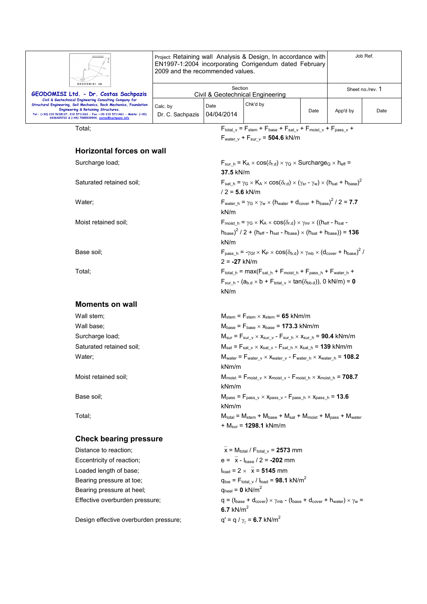|                                                                                                                                                                                                                                                                                                                        | 2009 and the recommended values.            |                    | Project: Retaining wall Analysis & Design, In accordance with<br>EN1997-1:2004 incorporating Corrigendum dated February |      |                  | Job Ref. |
|------------------------------------------------------------------------------------------------------------------------------------------------------------------------------------------------------------------------------------------------------------------------------------------------------------------------|---------------------------------------------|--------------------|-------------------------------------------------------------------------------------------------------------------------|------|------------------|----------|
| GEODOMISI Ltd.<br>GEODOMISI Ltd. - Dr. Costas Sachpazis                                                                                                                                                                                                                                                                | Section<br>Civil & Geotechnical Engineering |                    |                                                                                                                         |      | Sheet no./rev. 1 |          |
| Civil & Geotechnical Engineering Consulting Company for<br>Structural Engineering, Soil Mechanics, Rock Mechanics, Foundation<br><b>Engineering &amp; Retaining Structures.</b><br>Tel.: (+30) 210 5238127, 210 5711263 - Fax.:+30 210 5711461 - Mobile: (+30)<br>6936425722 & (+44) 7585939944, costas@sachpazis.info | Calc. by<br>Dr. C. Sachpazis                | Date<br>04/04/2014 | Chk'd by                                                                                                                | Date | App'd by         | Date     |

Total;  $F_{total_v} = F_{stem} + F_{base} + F_{sat_v} + F_{moist_v} + F_{pass_v} +$  $F_{\text{water\_v}} + F_{\text{sur\_v}} = 504.6 \text{ kN/m}$ 

| <b>Horizontal forces on wall</b> |                                                                                                                                                                                                                                                                                            |
|----------------------------------|--------------------------------------------------------------------------------------------------------------------------------------------------------------------------------------------------------------------------------------------------------------------------------------------|
| Surcharge load;                  | $F_{\text{sur-h}} = K_A \times \cos(\delta_{r.d}) \times \gamma_Q \times \text{Surcharge}_Q \times h_{\text{eff}} =$<br>37.5 kN/m                                                                                                                                                          |
| Saturated retained soil;         | $F_{sat\_h} = \gamma_G \times K_A \times \cos(\delta_{r.d}) \times (\gamma_{sr} - \gamma_w) \times (h_{sat} + h_{base})^2$<br>$/2 = 5.6$ kN/m                                                                                                                                              |
| Water;                           | $F_{\text{water}\_h} = \gamma_G \times \gamma_w \times (h_{\text{water}} + d_{\text{cover}} + h_{\text{base}})^2 / 2 = 7.7$<br>kN/m                                                                                                                                                        |
| Moist retained soil;             | $F_{\text{moist~h}} = \gamma_G \times K_A \times \cos(\delta_{r.d}) \times \gamma_{mr} \times ((h_{\text{eff}} - h_{\text{sat}} -$<br>$h_{\text{base}}^2$ / 2 + (h <sub>eff</sub> - h <sub>sat</sub> - h <sub>base</sub> ) × (h <sub>sat</sub> + h <sub>base</sub> )) = <b>136</b><br>kN/m |
| Base soil;                       | $F_{\text{pass h}} = -\gamma_{\text{Gf}} \times K_{\text{P}} \times \cos(\delta_{\text{b.d}}) \times \gamma_{\text{mb}} \times (d_{\text{cover}} + h_{\text{base}})^2$<br>$2 = -27$ kN/m                                                                                                   |
| Total;                           | $F_{\text{total h}} = \text{max}(F_{\text{sat h}} + F_{\text{moist h}} + F_{\text{pass h}} + F_{\text{water h}} +$<br>$F_{sur\_h}$ - (a <sub>b.d</sub> $\times$ b + $F_{total\_v}$ $\times$ tan( $\delta_{bb.d}$ )), 0 kN/m) = 0<br>kN/m                                                   |
| <b>Moments on wall</b>           |                                                                                                                                                                                                                                                                                            |
| Wall stem;                       | $M_{stem} = F_{stem} \times x_{stem} = 65$ kNm/m                                                                                                                                                                                                                                           |
| Wall base;                       | $M_{base}$ = $F_{base} \times X_{base}$ = 173.3 kNm/m                                                                                                                                                                                                                                      |
| Surcharge load;                  | $M_{sur}$ = $F_{sur_v}$ $\times$ $x_{sur_v}$ - $F_{sur_h}$ $\times$ $x_{sur_h}$ = 90.4 kNm/m                                                                                                                                                                                               |
| Saturated retained soil;         | $M_{sat}$ = $F_{sat_v} \times x_{sat_v}$ - $F_{sat_h} \times x_{sat_h}$ = 139 kNm/m                                                                                                                                                                                                        |
| Water;                           | $M_{water}$ = $F_{water}$ $_v$ $\times$ $X_{water}$ $_v$ - $F_{water}$ $_h$ $\times$ $X_{water}$ $_h$ = 108.2<br>kNm/m                                                                                                                                                                     |
| Moist retained soil;             | $\mathsf{M}_{\mathsf{moist}} = \mathsf{F}_{\mathsf{moist}\_\mathsf{v}} \times \mathsf{x}_{\mathsf{moist}\_\mathsf{v}} \text{-}\mathsf{F}_{\mathsf{moist}\_\mathsf{h}} \times \mathsf{x}_{\mathsf{moist}\_\mathsf{h}} = \textbf{708.7}$<br>kNm/m                                            |
| Base soil;                       | $M_{pass}$ = $F_{pass_v}$ × $x_{pass_v}$ - $F_{pass_h}$ × $x_{pass_h}$ = 13.6<br>kNm/m                                                                                                                                                                                                     |
| Total;                           | $M_{\text{total}} = M_{\text{stem}} + M_{\text{base}} + M_{\text{sat}} + M_{\text{moist}} + M_{\text{pass}} + M_{\text{water}}$<br>+ $M_{\text{sur}}$ = 1298.1 kNm/m                                                                                                                       |
| <b>Check bearing pressure</b>    |                                                                                                                                                                                                                                                                                            |
| Distance to reaction;            | $\bar{x}$ = M <sub>total</sub> / F <sub>total v</sub> = 2573 mm                                                                                                                                                                                                                            |
| Eccentricity of reaction;        | $e = \bar{x} - I_{base} / 2 = -202$ mm                                                                                                                                                                                                                                                     |
| Loaded length of base;           | $I_{load} = 2 \times \overline{x} = 5145$ mm                                                                                                                                                                                                                                               |
| Bearing pressure at toe;         | $q_{\text{toe}} = F_{\text{total} \text{v}} / I_{\text{load}} = 98.1 \text{ kN/m}^2$                                                                                                                                                                                                       |
| Bearing pressure at heel;        | $q_{\text{heel}} = 0 \text{ kN/m}^2$                                                                                                                                                                                                                                                       |

Design effective overburden pressure;

Effective overburden pressure;  $q = (t_{\text{base}} + d_{\text{cover}}) \times \gamma_{\text{mb}} - (t_{\text{base}} + d_{\text{cover}} + h_{\text{water}}) \times \gamma_w =$ **6.7** kN/m<sup>2</sup>

 $q' = q / \gamma_{\gamma} = 6.7$  kN/m<sup>2</sup>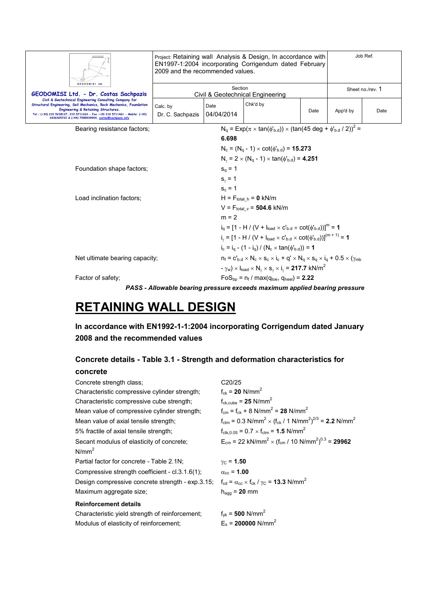| GEODOMISI Ltd.                                                                                                                                                                                                                                                                                              | Job Ref.<br>Project: Retaining wall Analysis & Design, In accordance with<br>EN1997-1:2004 incorporating Corrigendum dated February<br>2009 and the recommended values. |                    |                                                                                                                                |      |                  |      |
|-------------------------------------------------------------------------------------------------------------------------------------------------------------------------------------------------------------------------------------------------------------------------------------------------------------|-------------------------------------------------------------------------------------------------------------------------------------------------------------------------|--------------------|--------------------------------------------------------------------------------------------------------------------------------|------|------------------|------|
| GEODOMISI Ltd. - Dr. Costas Sachpazis                                                                                                                                                                                                                                                                       |                                                                                                                                                                         | Section            | Civil & Geotechnical Engineering                                                                                               |      | Sheet no./rev. 1 |      |
| Civil & Geotechnical Engineering Consulting Company for<br>Structural Engineering, Soil Mechanics, Rock Mechanics, Foundation<br>Engineering & Retaining Structures.<br>Tel.: (+30) 210 5238127, 210 5711263 - Fax.:+30 210 5711461 - Mobile: (+30)<br>6936425722 & (+44) 7585939944, costas@sachpazis.info | Calc. by<br>Dr. C. Sachpazis                                                                                                                                            | Date<br>04/04/2014 | Chk'd by                                                                                                                       | Date | App'd by         | Date |
| Bearing resistance factors;                                                                                                                                                                                                                                                                                 | $N_q = Exp(\pi \times tan(\phi_{b.d})) \times (tan(45 deg + \phi_{b.d} / 2))^2 =$                                                                                       |                    |                                                                                                                                |      |                  |      |
|                                                                                                                                                                                                                                                                                                             |                                                                                                                                                                         | 6.698              |                                                                                                                                |      |                  |      |
|                                                                                                                                                                                                                                                                                                             |                                                                                                                                                                         |                    | $N_c = (N_a - 1) \times \cot(\phi_{b,d}) = 15.273$                                                                             |      |                  |      |
|                                                                                                                                                                                                                                                                                                             |                                                                                                                                                                         |                    | $N_v = 2 \times (N_q - 1) \times \tan(\phi_{b,d}) = 4.251$                                                                     |      |                  |      |
| Foundation shape factors;                                                                                                                                                                                                                                                                                   |                                                                                                                                                                         | $s_0 = 1$          |                                                                                                                                |      |                  |      |
|                                                                                                                                                                                                                                                                                                             |                                                                                                                                                                         | $s_{v} = 1$        |                                                                                                                                |      |                  |      |
|                                                                                                                                                                                                                                                                                                             |                                                                                                                                                                         | $s_c = 1$          |                                                                                                                                |      |                  |      |
| Load inclination factors;                                                                                                                                                                                                                                                                                   |                                                                                                                                                                         |                    | $H = F_{total h} = 0$ kN/m                                                                                                     |      |                  |      |
|                                                                                                                                                                                                                                                                                                             |                                                                                                                                                                         |                    | $V = F_{total_v} = 504.6$ kN/m                                                                                                 |      |                  |      |
|                                                                                                                                                                                                                                                                                                             |                                                                                                                                                                         | $m = 2$            |                                                                                                                                |      |                  |      |
|                                                                                                                                                                                                                                                                                                             |                                                                                                                                                                         |                    | $i_0 = [1 - H / (V + I_{load} \times C_{b,d} \times \text{cot}(\phi_{b,d}))]^{m} = 1$                                          |      |                  |      |
|                                                                                                                                                                                                                                                                                                             |                                                                                                                                                                         |                    | $i_y = [1 - H / (V + I_{load} \times C_{b.d} \times \cot(\phi_{b.d}))]^{(m+1)} = 1$                                            |      |                  |      |
|                                                                                                                                                                                                                                                                                                             |                                                                                                                                                                         |                    | $i_c = i_a - (1 - i_a) / (N_c \times \tan(\phi_{b,d})) = 1$                                                                    |      |                  |      |
| Net ultimate bearing capacity;                                                                                                                                                                                                                                                                              |                                                                                                                                                                         |                    | $n_f = C_{\text{bd}} \times N_c \times S_c \times i_c + q' \times N_q \times S_q \times i_q + 0.5 \times (\gamma_{\text{mb}})$ |      |                  |      |
|                                                                                                                                                                                                                                                                                                             |                                                                                                                                                                         |                    | $-\gamma_w$ ) × $I_{load}$ × $N_v$ × $s_v$ × $i_v$ = 217.7 kN/m <sup>2</sup>                                                   |      |                  |      |
| Factor of safety:                                                                                                                                                                                                                                                                                           |                                                                                                                                                                         |                    | $FoS_{\text{bn}} = n_f / max(q_{\text{toe}} , q_{\text{heel}}) = 2.22$                                                         |      |                  |      |
|                                                                                                                                                                                                                                                                                                             |                                                                                                                                                                         |                    | PASS - Allowable bearing pressure exceeds maximum applied bearing pressure                                                     |      |                  |      |

# **RETAINING WALL DESIGN**

**In accordance with EN1992-1-1:2004 incorporating Corrigendum dated January 2008 and the recommended values** 

# **Concrete details - Table 3.1 - Strength and deformation characteristics for**

#### **concrete**

| Concrete strength class;                         | C <sub>20</sub> /25                                                                                        |
|--------------------------------------------------|------------------------------------------------------------------------------------------------------------|
| Characteristic compressive cylinder strength;    | $f_{ck} = 20$ N/mm <sup>2</sup>                                                                            |
| Characteristic compressive cube strength;        | $f_{ck.cube} = 25$ N/mm <sup>2</sup>                                                                       |
| Mean value of compressive cylinder strength;     | $f_{cm} = f_{ck} + 8$ N/mm <sup>2</sup> = 28 N/mm <sup>2</sup>                                             |
| Mean value of axial tensile strength;            | $f_{\text{ctm}} = 0.3 \text{ N/mm}^2 \times (f_{\text{ck}} / 1 \text{ N/mm}^2)^{2/3} = 2.2 \text{ N/mm}^2$ |
| 5% fractile of axial tensile strength;           | $f_{\text{ctk.0.05}} = 0.7 \times f_{\text{ctm}} = 1.5 \text{ N/mm}^2$                                     |
| Secant modulus of elasticity of concrete;        | $E_{cm}$ = 22 kN/mm <sup>2</sup> × (f <sub>cm</sub> / 10 N/mm <sup>2</sup> ) <sup>0.3</sup> = <b>29962</b> |
| $N/mm^2$                                         |                                                                                                            |
| Partial factor for concrete - Table 2.1N;        | $y_C = 1.50$                                                                                               |
| Compressive strength coefficient - cl.3.1.6(1);  | $\alpha_{\rm cc}$ = 1.00                                                                                   |
| Design compressive concrete strength - exp.3.15; | $f_{\rm cd} = \alpha_{\rm cc} \times f_{\rm ck} / \gamma_{\rm C} = 13.3$ N/mm <sup>2</sup>                 |
| Maximum aggregate size;                          | $h_{\text{a}\text{a}} = 20$ mm                                                                             |
| <b>Reinforcement details</b>                     |                                                                                                            |
| Characteristic yield strength of reinforcement;  | $f_{\text{vk}} = 500 \text{ N/mm}^2$                                                                       |

Modulus of elasticity of reinforcement;  $E_s = 200000 \text{ N/mm}^2$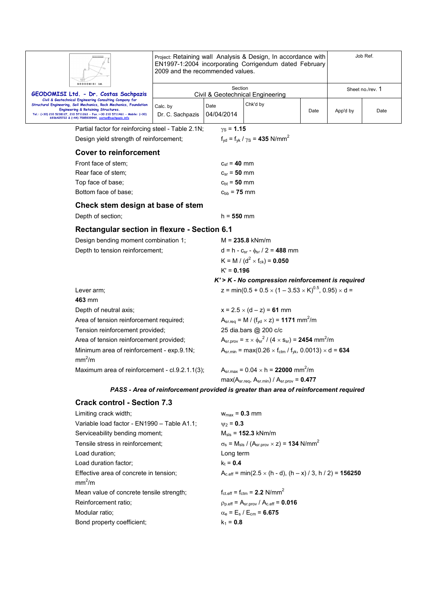|                                                                                                                                                                                                                                                  | 2009 and the recommended values. |                             | Project: Retaining wall Analysis & Design, In accordance with<br>EN1997-1:2004 incorporating Corrigendum dated February |      |          | Job Ref.         |
|--------------------------------------------------------------------------------------------------------------------------------------------------------------------------------------------------------------------------------------------------|----------------------------------|-----------------------------|-------------------------------------------------------------------------------------------------------------------------|------|----------|------------------|
| GEODOMISI Ltd                                                                                                                                                                                                                                    |                                  | Section                     |                                                                                                                         |      |          | Sheet no./rev. 1 |
| GEODOMISI Ltd. - Dr. Costas Sachpazis<br>Civil & Geotechnical Engineering Consulting Company for                                                                                                                                                 |                                  |                             | Civil & Geotechnical Engineering                                                                                        |      |          |                  |
| Structural Engineering, Soil Mechanics, Rock Mechanics, Foundation<br>Engineering & Retaining Structures.<br>Tel.: (+30) 210 5238127, 210 5711263 - Fax.:+30 210 5711461 - Mobile: (+30)<br>6936425722 & (+44) 7585939944, costas@sachpazis.info | Calc. by<br>Dr. C. Sachpazis     | Date<br>04/04/2014          | Chk'd by                                                                                                                | Date | App'd by | Date             |
| Partial factor for reinforcing steel - Table 2.1N;                                                                                                                                                                                               |                                  | $\gamma_{\rm S}$ = 1.15     |                                                                                                                         |      |          |                  |
| Design yield strength of reinforcement;                                                                                                                                                                                                          |                                  |                             | $f_{yd} = f_{yk} / \gamma_s = 435$ N/mm <sup>2</sup>                                                                    |      |          |                  |
| <b>Cover to reinforcement</b>                                                                                                                                                                                                                    |                                  |                             |                                                                                                                         |      |          |                  |
| Front face of stem;                                                                                                                                                                                                                              |                                  | $c_{\rm sf} = 40 \; \rm mm$ |                                                                                                                         |      |          |                  |
| Rear face of stem;                                                                                                                                                                                                                               |                                  | $c_{sr} = 50$ mm            |                                                                                                                         |      |          |                  |
| Top face of base;                                                                                                                                                                                                                                |                                  | $c_{bt} = 50$ mm            |                                                                                                                         |      |          |                  |
| Bottom face of base;                                                                                                                                                                                                                             |                                  | $c_{bb} = 75$ mm            |                                                                                                                         |      |          |                  |
| Check stem design at base of stem                                                                                                                                                                                                                |                                  |                             |                                                                                                                         |      |          |                  |
| Depth of section;                                                                                                                                                                                                                                |                                  | $h = 550$ mm                |                                                                                                                         |      |          |                  |
| <b>Rectangular section in flexure - Section 6.1</b>                                                                                                                                                                                              |                                  |                             |                                                                                                                         |      |          |                  |
| Design bending moment combination 1;                                                                                                                                                                                                             |                                  |                             | $M = 235.8$ kNm/m                                                                                                       |      |          |                  |
| Depth to tension reinforcement;                                                                                                                                                                                                                  |                                  |                             | $d = h - c_{sr} - \phi_{sr} / 2 = 488$ mm                                                                               |      |          |                  |
|                                                                                                                                                                                                                                                  |                                  |                             | K = M / ( $d^2 \times f_{ck}$ ) = 0.050                                                                                 |      |          |                  |
|                                                                                                                                                                                                                                                  |                                  | $K' = 0.196$                |                                                                                                                         |      |          |                  |
|                                                                                                                                                                                                                                                  |                                  |                             | $K > K$ - No compression reinforcement is required                                                                      |      |          |                  |
| Lever arm;<br>463 mm                                                                                                                                                                                                                             |                                  |                             | z = min(0.5 + 0.5 $\times$ (1 – 3.53 $\times$ K) <sup>0.5</sup> , 0.95) $\times$ d =                                    |      |          |                  |
| Depth of neutral axis;                                                                                                                                                                                                                           |                                  |                             | $x = 2.5 \times (d - z) = 61$ mm                                                                                        |      |          |                  |
| Area of tension reinforcement required;                                                                                                                                                                                                          |                                  |                             | $A_{sr.read} = M / (f_{vd} \times z) = 1171$ mm <sup>2</sup> /m                                                         |      |          |                  |
| Tension reinforcement provided;                                                                                                                                                                                                                  |                                  |                             | 25 dia.bars @ 200 c/c                                                                                                   |      |          |                  |
| Area of tension reinforcement provided;                                                                                                                                                                                                          |                                  |                             | $A_{sr,prov} = \pi \times \phi_{sr}^2 / (4 \times s_{sr}) = 2454$ mm <sup>2</sup> /m                                    |      |          |                  |
| Minimum area of reinforcement - exp.9.1N;<br>mm <sup>2</sup> /m                                                                                                                                                                                  |                                  |                             | $A_{sr,min} = max(0.26 \times f_{ctm} / f_{yk}, 0.0013) \times d = 634$                                                 |      |          |                  |
| Maximum area of reinforcement - cl.9.2.1.1(3);                                                                                                                                                                                                   |                                  |                             | $A_{sr,max} = 0.04 \times h = 22000$ mm <sup>2</sup> /m                                                                 |      |          |                  |
|                                                                                                                                                                                                                                                  |                                  |                             | $max(A_{sr,req}, A_{sr,min}) / A_{sr,prov} = 0.477$                                                                     |      |          |                  |
|                                                                                                                                                                                                                                                  |                                  |                             | PASS - Area of reinforcement provided is greater than area of reinforcement required                                    |      |          |                  |
| <b>Crack control - Section 7.3</b>                                                                                                                                                                                                               |                                  |                             |                                                                                                                         |      |          |                  |
| Limiting crack width;                                                                                                                                                                                                                            |                                  | $w_{max}$ = 0.3 mm          |                                                                                                                         |      |          |                  |

| $\mathsf{m}$ . The state of $\mathsf{m}$ and $\mathsf{m}$ and $\mathsf{m}$ | $\mathbf{v}$                                                                                     |
|----------------------------------------------------------------------------|--------------------------------------------------------------------------------------------------|
| Variable load factor - EN1990 - Table A1.1;                                | $v_2 = 0.3$                                                                                      |
| Serviceability bending moment;                                             | $M_{\rm{sls}} = 152.3$ kNm/m                                                                     |
| Tensile stress in reinforcement;                                           | $\sigma_s$ = M <sub>sls</sub> / (A <sub>sr.prov</sub> $\times$ z) = <b>134</b> N/mm <sup>2</sup> |
| Load duration;                                                             | Long term                                                                                        |
| Load duration factor:                                                      | $k_t = 0.4$                                                                                      |
| Effective area of concrete in tension:                                     | $A_{c,eff}$ = min(2.5 $\times$ (h - d), (h – x) / 3, h / 2) = <b>156250</b>                      |
| mm <sup>2</sup> /m                                                         |                                                                                                  |
| Mean value of concrete tensile strength;                                   | $f_{\text{ct.eff}} = f_{\text{ctm}} = 2.2 \text{ N/mm}^2$                                        |
| Reinforcement ratio;                                                       | $\rho_{\text{p,eff}} = A_{\text{sr,prov}} / A_{\text{c,eff}} = 0.016$                            |
| Modular ratio;                                                             | $\alpha_e = E_s / E_{cm} = 6.675$                                                                |
| Bond property coefficient:                                                 | $k_1 = 0.8$                                                                                      |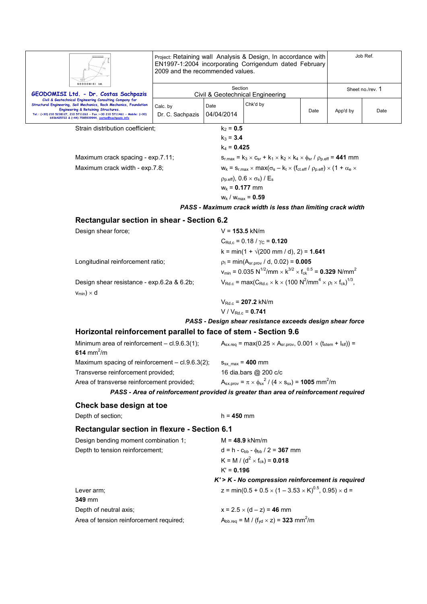|                                                                                                                                                                            | Project: Retaining wall Analysis & Design, In accordance with<br>EN1997-1:2004 incorporating Corrigendum dated February<br>2009 and the recommended values. |                        | Job Ref.                                                                                                                                                                                          |      |                  |      |  |
|----------------------------------------------------------------------------------------------------------------------------------------------------------------------------|-------------------------------------------------------------------------------------------------------------------------------------------------------------|------------------------|---------------------------------------------------------------------------------------------------------------------------------------------------------------------------------------------------|------|------------------|------|--|
| <b>GEODOMISI</b><br>GEODOMISI Ltd. - Dr. Costas Sachpazis                                                                                                                  | Section<br>Civil & Geotechnical Engineering                                                                                                                 |                        |                                                                                                                                                                                                   |      | Sheet no./rev. 1 |      |  |
| Civil & Geotechnical Engineering Consulting Company for<br>Structural Engineering, Soil Mechanics, Rock Mechanics, Foundation                                              |                                                                                                                                                             | Date                   | Chk'd by                                                                                                                                                                                          |      |                  |      |  |
| Engineering & Retaining Structures.<br>Tel.: (+30) 210 5238127, 210 5711263 - Fax.:+30 210 5711461 - Mobile: (+30)<br>6936425722 & (+44) 7585939944, costas@sachpazis.info | Calc. by<br>Dr. C. Sachpazis                                                                                                                                | 04/04/2014             |                                                                                                                                                                                                   | Date | App'd by         | Date |  |
| Strain distribution coefficient:                                                                                                                                           |                                                                                                                                                             | $k_2 = 0.5$            |                                                                                                                                                                                                   |      |                  |      |  |
|                                                                                                                                                                            |                                                                                                                                                             | $k_3 = 3.4$            |                                                                                                                                                                                                   |      |                  |      |  |
|                                                                                                                                                                            |                                                                                                                                                             | $k_4 = 0.425$          |                                                                                                                                                                                                   |      |                  |      |  |
| Maximum crack spacing - exp.7.11;                                                                                                                                          |                                                                                                                                                             |                        | $S_{r, max} = k_3 \times C_{sr} + k_1 \times k_2 \times k_4 \times \phi_{sr} / \rho_{p, eff} = 441$ mm                                                                                            |      |                  |      |  |
| Maximum crack width - exp.7.8;                                                                                                                                             |                                                                                                                                                             |                        | $w_k = s_{r,\text{max}} \times \text{max}(\sigma_s - k_t \times (f_{\text{ct.eff}} / p_{p,\text{eff}}) \times (1 + \alpha_e \times$<br>$\rho_{p,eff}$ ), $0.6 \times \sigma_s$ ) / E <sub>s</sub> |      |                  |      |  |
|                                                                                                                                                                            |                                                                                                                                                             | $w_k = 0.177$ mm       |                                                                                                                                                                                                   |      |                  |      |  |
|                                                                                                                                                                            |                                                                                                                                                             | $w_k / w_{max} = 0.59$ |                                                                                                                                                                                                   |      |                  |      |  |
|                                                                                                                                                                            |                                                                                                                                                             |                        | PASS - Maximum crack width is less than limiting crack width                                                                                                                                      |      |                  |      |  |
| Rectangular section in shear - Section 6.2                                                                                                                                 |                                                                                                                                                             |                        |                                                                                                                                                                                                   |      |                  |      |  |
| Design shear force;                                                                                                                                                        |                                                                                                                                                             | $V = 153.5$ kN/m       |                                                                                                                                                                                                   |      |                  |      |  |
|                                                                                                                                                                            |                                                                                                                                                             |                        | $C_{\text{Rd.c}}$ = 0.18 / $\gamma_{\text{C}}$ = 0.120                                                                                                                                            |      |                  |      |  |
|                                                                                                                                                                            |                                                                                                                                                             |                        | $k = min(1 + \sqrt{200} \text{ mm / d})$ , 2) = 1.641                                                                                                                                             |      |                  |      |  |
|                                                                                                                                                                            | Longitudinal reinforcement ratio;                                                                                                                           |                        | $p_1 = min(A_{sr,prov}/d, 0.02) = 0.005$                                                                                                                                                          |      |                  |      |  |
|                                                                                                                                                                            |                                                                                                                                                             |                        | $v_{\text{min}} = 0.035 \text{ N}^{1/2}/\text{mm} \times \text{K}^{3/2} \times \text{f}_{\text{ck}}^{0.5} = 0.329 \text{ N/mm}^2$                                                                 |      |                  |      |  |
| $v_{min}$ ) × d                                                                                                                                                            | Design shear resistance - exp.6.2a & 6.2b;                                                                                                                  |                        | $V_{\text{Rd.c}} = \max(C_{\text{Rd.c}} \times k \times (100 \text{ N}^2/\text{mm}^4 \times \rho_1 \times f_{\text{ck}})^{1/3},$                                                                  |      |                  |      |  |
|                                                                                                                                                                            |                                                                                                                                                             |                        | $V_{\text{Rd.c}}$ = 207.2 kN/m                                                                                                                                                                    |      |                  |      |  |
|                                                                                                                                                                            |                                                                                                                                                             |                        | $V/V_{Rd,c} = 0.741$                                                                                                                                                                              |      |                  |      |  |
|                                                                                                                                                                            |                                                                                                                                                             |                        | PASS - Design shear resistance exceeds design shear force                                                                                                                                         |      |                  |      |  |
| Horizontal reinforcement parallel to face of stem - Section 9.6                                                                                                            |                                                                                                                                                             |                        |                                                                                                                                                                                                   |      |                  |      |  |
| Minimum area of reinforcement - cl.9.6.3(1);<br>614 mm <sup>2</sup> /m                                                                                                     |                                                                                                                                                             |                        | $A_{sx,req}$ = max(0.25 $\times$ A <sub>sr.prov</sub> , 0.001 $\times$ (t <sub>stem</sub> + l <sub>slf</sub> )) =                                                                                 |      |                  |      |  |
| Maximum spacing of reinforcement $-$ cl.9.6.3(2);                                                                                                                          |                                                                                                                                                             |                        | $S_{\text{sx max}}$ = 400 mm                                                                                                                                                                      |      |                  |      |  |
| Transverse reinforcement provided;                                                                                                                                         |                                                                                                                                                             |                        | 16 dia.bars @ 200 c/c                                                                                                                                                                             |      |                  |      |  |
| Area of transverse reinforcement provided;                                                                                                                                 |                                                                                                                                                             |                        | $A_{sx,prov} = \pi \times \phi_{sx}^2 / (4 \times s_{sx}) = 1005$ mm <sup>2</sup> /m                                                                                                              |      |                  |      |  |
|                                                                                                                                                                            |                                                                                                                                                             |                        | PASS - Area of reinforcement provided is greater than area of reinforcement required                                                                                                              |      |                  |      |  |
| Check base design at toe                                                                                                                                                   |                                                                                                                                                             |                        |                                                                                                                                                                                                   |      |                  |      |  |
| Depth of section;                                                                                                                                                          |                                                                                                                                                             | $h = 450$ mm           |                                                                                                                                                                                                   |      |                  |      |  |
| <b>Rectangular section in flexure - Section 6.1</b>                                                                                                                        |                                                                                                                                                             |                        |                                                                                                                                                                                                   |      |                  |      |  |
| Design bending moment combination 1;                                                                                                                                       |                                                                                                                                                             |                        | $M = 48.9$ kNm/m                                                                                                                                                                                  |      |                  |      |  |
| Depth to tension reinforcement;                                                                                                                                            |                                                                                                                                                             |                        | $d = h - c_{bb} - \phi_{bb} / 2 = 367$ mm                                                                                                                                                         |      |                  |      |  |
|                                                                                                                                                                            |                                                                                                                                                             |                        | K = M / ( $d^2$ × f <sub>ck</sub> ) = 0.018                                                                                                                                                       |      |                  |      |  |
|                                                                                                                                                                            |                                                                                                                                                             | $K' = 0.196$           |                                                                                                                                                                                                   |      |                  |      |  |
|                                                                                                                                                                            |                                                                                                                                                             |                        | $K$ '> $K$ - No compression reinforcement is required                                                                                                                                             |      |                  |      |  |
| Lever arm;                                                                                                                                                                 |                                                                                                                                                             |                        | z = min(0.5 + 0.5 $\times$ (1 – 3.53 $\times$ K) <sup>0.5</sup> , 0.95) $\times$ d =                                                                                                              |      |                  |      |  |
| 349 mm                                                                                                                                                                     |                                                                                                                                                             |                        |                                                                                                                                                                                                   |      |                  |      |  |
| Depth of neutral axis;                                                                                                                                                     |                                                                                                                                                             |                        | $x = 2.5 \times (d - z) = 46$ mm                                                                                                                                                                  |      |                  |      |  |
| Area of tension reinforcement required;                                                                                                                                    |                                                                                                                                                             |                        | $A_{\text{bb}.\text{req}} = M / (f_{\text{yd}} \times z) = 323 \text{ mm}^2/\text{m}$                                                                                                             |      |                  |      |  |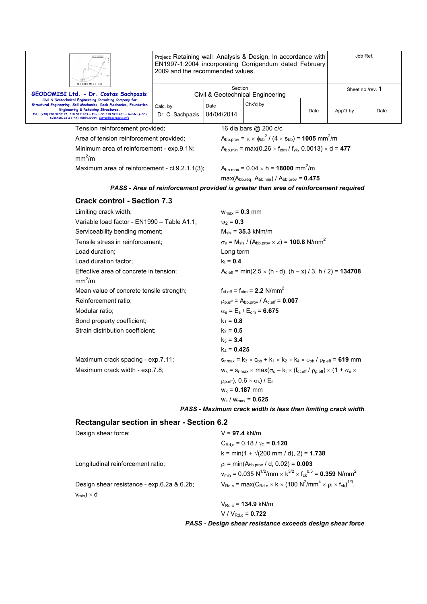|                                                                                                                                                                            | Project: Retaining wall Analysis & Design, In accordance with<br>EN1997-1:2004 incorporating Corrigendum dated February<br>2009 and the recommended values. |                    |                                                                                                                                       | Job Ref. |                  |      |  |
|----------------------------------------------------------------------------------------------------------------------------------------------------------------------------|-------------------------------------------------------------------------------------------------------------------------------------------------------------|--------------------|---------------------------------------------------------------------------------------------------------------------------------------|----------|------------------|------|--|
| GEODOMISI Ltd. - Dr. Costas Sachpazis                                                                                                                                      | GEODOMISI Ltd.                                                                                                                                              |                    | Section                                                                                                                               |          | Sheet no./rev. 1 |      |  |
| Civil & Geotechnical Engineering Consulting Company for<br>Structural Engineering, Soil Mechanics, Rock Mechanics, Foundation                                              |                                                                                                                                                             |                    | Civil & Geotechnical Engineering<br>Chk'd by                                                                                          |          |                  |      |  |
| Engineering & Retaining Structures.<br>Tel.: (+30) 210 5238127, 210 5711263 - Fax.:+30 210 5711461 - Mobile: (+30)<br>6936425722 & (+44) 7585939944, costas@sachpazis.info | Calc. by<br>Dr. C. Sachpazis                                                                                                                                | Date<br>04/04/2014 |                                                                                                                                       | Date     | App'd by         | Date |  |
| Tension reinforcement provided;                                                                                                                                            |                                                                                                                                                             |                    | 16 dia.bars @ 200 c/c                                                                                                                 |          |                  |      |  |
| Area of tension reinforcement provided;                                                                                                                                    |                                                                                                                                                             |                    | $A_{\text{bb.}prow} = \pi \times \phi_{\text{bb}}^2 / (4 \times s_{\text{bb}}) = 1005 \text{ mm}^2/\text{m}$                          |          |                  |      |  |
| mm <sup>2</sup> /m                                                                                                                                                         | Minimum area of reinforcement - exp.9.1N;                                                                                                                   |                    | $A_{bb,min} = max(0.26 \times f_{ctm} / f_{yk}, 0.0013) \times d = 477$                                                               |          |                  |      |  |
| Maximum area of reinforcement - cl.9.2.1.1(3);                                                                                                                             |                                                                                                                                                             |                    | $A_{bb,max} = 0.04 \times h = 18000$ mm <sup>2</sup> /m                                                                               |          |                  |      |  |
|                                                                                                                                                                            |                                                                                                                                                             |                    | $max(A_{bb.req}, A_{bb.min}) / A_{bb.prov} = 0.475$                                                                                   |          |                  |      |  |
|                                                                                                                                                                            |                                                                                                                                                             |                    | PASS - Area of reinforcement provided is greater than area of reinforcement required                                                  |          |                  |      |  |
|                                                                                                                                                                            |                                                                                                                                                             |                    |                                                                                                                                       |          |                  |      |  |
| <b>Crack control - Section 7.3</b>                                                                                                                                         |                                                                                                                                                             |                    |                                                                                                                                       |          |                  |      |  |
| Limiting crack width;                                                                                                                                                      |                                                                                                                                                             |                    | $w_{max} = 0.3$ mm                                                                                                                    |          |                  |      |  |
| Variable load factor - EN1990 - Table A1.1;                                                                                                                                |                                                                                                                                                             | $v_2 = 0.3$        |                                                                                                                                       |          |                  |      |  |
| Serviceability bending moment;                                                                                                                                             |                                                                                                                                                             |                    | $M_{\rm{sls}} = 35.3 \text{ kNm/m}$                                                                                                   |          |                  |      |  |
| Tensile stress in reinforcement;                                                                                                                                           |                                                                                                                                                             |                    | $\sigma_s$ = M <sub>sis</sub> / (A <sub>bb.prov</sub> $\times$ z) = <b>100.8</b> N/mm <sup>2</sup>                                    |          |                  |      |  |
| Load duration;                                                                                                                                                             |                                                                                                                                                             |                    | Long term                                                                                                                             |          |                  |      |  |
| Load duration factor;                                                                                                                                                      |                                                                                                                                                             | $k_t = 0.4$        |                                                                                                                                       |          |                  |      |  |
| Effective area of concrete in tension;<br>mm <sup>2</sup> /m                                                                                                               |                                                                                                                                                             |                    | $A_{c.eff}$ = min(2.5 $\times$ (h - d), (h – x) / 3, h / 2) = 134708                                                                  |          |                  |      |  |
| Mean value of concrete tensile strength;                                                                                                                                   |                                                                                                                                                             |                    | $f_{\text{ct eff}} = f_{\text{ctm}} = 2.2 \text{ N/mm}^2$                                                                             |          |                  |      |  |
| Reinforcement ratio:                                                                                                                                                       |                                                                                                                                                             |                    | $p_{p.eff} = A_{bb.prov} / A_{c.eff} = 0.007$                                                                                         |          |                  |      |  |
| Modular ratio;                                                                                                                                                             |                                                                                                                                                             |                    | $\alpha_{\rm e}$ = E <sub>s</sub> / E <sub>cm</sub> = 6.675                                                                           |          |                  |      |  |
| Bond property coefficient;                                                                                                                                                 |                                                                                                                                                             |                    | $k_1 = 0.8$                                                                                                                           |          |                  |      |  |
| Strain distribution coefficient;                                                                                                                                           |                                                                                                                                                             |                    | $k_2 = 0.5$                                                                                                                           |          |                  |      |  |
|                                                                                                                                                                            |                                                                                                                                                             |                    | $k_3 = 3.4$                                                                                                                           |          |                  |      |  |
|                                                                                                                                                                            |                                                                                                                                                             | $k_4$ = 0.425      |                                                                                                                                       |          |                  |      |  |
| Maximum crack spacing - exp.7.11;                                                                                                                                          |                                                                                                                                                             |                    | $s_{r,max} = k_3 \times c_{bb} + k_1 \times k_2 \times k_4 \times \phi_{bb} / \rho_{p,eff} = 619$ mm                                  |          |                  |      |  |
| Maximum crack width - exp.7.8;                                                                                                                                             |                                                                                                                                                             |                    | $W_k = S_{r,\text{max}} \times \text{max}(\sigma_s - k_t \times (f_{\text{ct.eff}}/ \rho_{p,\text{eff}}) \times (1 + \alpha_e \times$ |          |                  |      |  |
|                                                                                                                                                                            |                                                                                                                                                             |                    | $p_{p.eff}$ , 0.6 $\times \sigma_s$ ) / E <sub>s</sub>                                                                                |          |                  |      |  |
|                                                                                                                                                                            |                                                                                                                                                             |                    | $w_k = 0.187$ mm                                                                                                                      |          |                  |      |  |
|                                                                                                                                                                            |                                                                                                                                                             |                    | $w_k / w_{max} = 0.625$                                                                                                               |          |                  |      |  |

*PASS - Maximum crack width is less than limiting crack width* 

## **Rectangular section in shear - Section 6.2**

| Design shear force;                        | $V = 97.4$ kN/m                                                                                                                   |
|--------------------------------------------|-----------------------------------------------------------------------------------------------------------------------------------|
|                                            | $C_{\text{Rd.c}}$ = 0.18 / $\gamma_{\text{C}}$ = 0.120                                                                            |
|                                            | $k = min(1 + \sqrt{200 \text{ mm}/ d})$ , 2) = 1.738                                                                              |
| Longitudinal reinforcement ratio;          | $p_1 = min(A_{bb,nrov} / d, 0.02) = 0.003$                                                                                        |
|                                            | $v_{\text{min}} = 0.035 \text{ N}^{1/2}/\text{mm} \times \text{K}^{3/2} \times \text{f}_{\text{ck}}^{0.5} = 0.359 \text{ N/mm}^2$ |
| Design shear resistance - exp.6.2a & 6.2b; | $V_{\text{Rd.c}} = \max(C_{\text{Rd.c}} \times k \times (100 \text{ N}^2/\text{mm}^4 \times \rho_1 \times f_{\text{ck}})^{1/3}$   |
| $v_{min}$ ) $\times$ d                     |                                                                                                                                   |
|                                            | $V_{\text{Rd.c}} = 134.9 \text{ kN/m}$                                                                                            |
|                                            | $V/V_{Rd.c} = 0.722$                                                                                                              |

*PASS - Design shear resistance exceeds design shear force*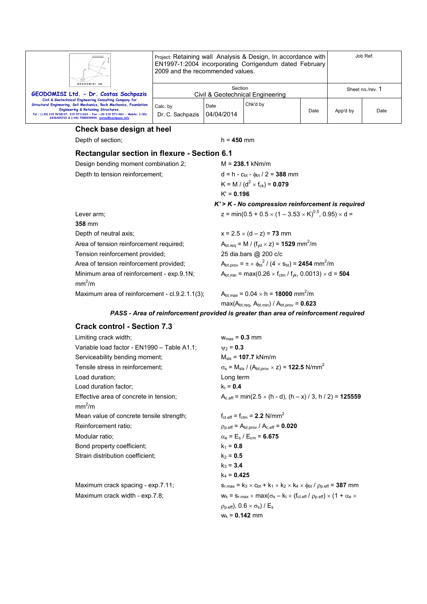| $\Box$<br>GEODOMISI Ltd.                                                                                                                                                                                                                                                                                               | Job Ref.<br>Project: Retaining wall Analysis & Design, In accordance with<br>EN1997-1:2004 incorporating Corrigendum dated February<br>2009 and the recommended values. |                    |          |      |                  |      |
|------------------------------------------------------------------------------------------------------------------------------------------------------------------------------------------------------------------------------------------------------------------------------------------------------------------------|-------------------------------------------------------------------------------------------------------------------------------------------------------------------------|--------------------|----------|------|------------------|------|
| GEODOMISI Ltd. - Dr. Costas Sachpazis                                                                                                                                                                                                                                                                                  | Section<br>Civil & Geotechnical Engineering                                                                                                                             |                    |          |      | Sheet no./rev. 1 |      |
| Civil & Geotechnical Engineering Consulting Company for<br>Structural Engineering, Soil Mechanics, Rock Mechanics, Foundation<br><b>Engineering &amp; Retaining Structures.</b><br>Tel.: (+30) 210 5238127, 210 5711263 - Fax.:+30 210 5711461 - Mobile: (+30)<br>6936425722 & (+44) 7585939944, costas@sachpazis.info | Calc. by<br>Dr. C. Sachpazis                                                                                                                                            | Date<br>04/04/2014 | Chk'd by | Date | App'd by         | Date |

## **Check base design at heel**

Depth of section; h = 450 mm **Rectangular section in flexure - Section 6.1** 

| Design bending moment combination 2;                            | $M = 238.1$ kNm/m                                                                                               |
|-----------------------------------------------------------------|-----------------------------------------------------------------------------------------------------------------|
| Depth to tension reinforcement;                                 | $d = h - c_{bt} - \phi_{bt} / 2 = 388$ mm                                                                       |
|                                                                 | K = M / (d <sup>2</sup> × f <sub>ck</sub> ) = <b>0.079</b>                                                      |
|                                                                 | $K' = 0.196$                                                                                                    |
|                                                                 | $K'$ > $K$ - No compression reinforcement is required                                                           |
| Lever arm;                                                      | z = min(0.5 + 0.5 $\times$ (1 – 3.53 $\times$ K) <sup>0.5</sup> , 0.95) $\times$ d =                            |
| <b>358 mm</b>                                                   |                                                                                                                 |
| Depth of neutral axis;                                          | $x = 2.5 \times (d - z) = 73$ mm                                                                                |
| Area of tension reinforcement required;                         | $A_{\text{bt,rea}} = M / (f_{\text{vd}} \times z) = 1529 \text{ mm}^2/\text{m}$                                 |
| Tension reinforcement provided;                                 | 25 dia.bars @ 200 c/c                                                                                           |
| Area of tension reinforcement provided;                         | $A_{\text{bt. prov}} = \pi \times {\phi_{\text{bt}}}^2 / (4 \times s_{\text{bt}}) = 2454 \text{ mm}^2/\text{m}$ |
| Minimum area of reinforcement - exp.9.1N;<br>mm <sup>2</sup> /m | $A_{\text{bt,min}} = \max(0.26 \times f_{\text{ctm}} / f_{\text{vk}}, 0.0013) \times d = 504$                   |
| Maximum area of reinforcement - cl.9.2.1.1(3);                  | $A_{\text{bt,max}} = 0.04 \times h = 18000 \text{ mm}^2/\text{m}$                                               |

max(Abt.req, Abt.min) / Abt.prov = **0.623**

#### *PASS - Area of reinforcement provided is greater than area of reinforcement required*

## **Crack control - Section 7.3**

| Limiting crack width;                                        | $W_{\text{max}} = 0.3$ mm                                                                                                  |
|--------------------------------------------------------------|----------------------------------------------------------------------------------------------------------------------------|
| Variable load factor - EN1990 - Table A1.1;                  | $v_2 = 0.3$                                                                                                                |
| Serviceability bending moment;                               | $M_{\rm{sls}} = 107.7$ kNm/m                                                                                               |
| Tensile stress in reinforcement;                             | $\sigma_s$ = M <sub>sls</sub> / (A <sub>bt.prov</sub> $\times$ z) = <b>122.5</b> N/mm <sup>2</sup>                         |
| Load duration;                                               | Long term                                                                                                                  |
| Load duration factor:                                        | $k_t = 0.4$                                                                                                                |
| Effective area of concrete in tension;<br>mm <sup>2</sup> /m | $A_{c,eff}$ = min(2.5 $\times$ (h - d), (h – x) / 3, h / 2) = 125559                                                       |
| Mean value of concrete tensile strength;                     | $f_{\text{ct.eff}} = f_{\text{ctm}} = 2.2 \text{ N/mm}^2$                                                                  |
| Reinforcement ratio;                                         | $\rho_{\text{p.eff}} = A_{\text{bt.prov}} / A_{\text{c.eff}} = 0.020$                                                      |
| Modular ratio:                                               | $\alpha_e = E_s / E_{cm} = 6.675$                                                                                          |
| Bond property coefficient;                                   | $k_1 = 0.8$                                                                                                                |
| Strain distribution coefficient:                             | $k_2 = 0.5$                                                                                                                |
|                                                              | $k_3 = 3.4$                                                                                                                |
|                                                              | $k_4 = 0.425$                                                                                                              |
| Maximum crack spacing - exp.7.11;                            | $S_{r, max} = k_3 \times c_{bt} + k_1 \times k_2 \times k_4 \times \phi_{bt}$ / $\rho_{p, eff} = 387$ mm                   |
| Maximum crack width - exp.7.8;                               | $W_k$ = S <sub>rmax</sub> × max( $\sigma_s$ – k <sub>t</sub> × (f <sub>ct.eff</sub> / $\rho_{p,eff}$ ) × (1 + $\alpha_e$ × |
|                                                              | $\rho_{p.eff}$ ), 0.6 $\times \sigma_s$ ) / E <sub>s</sub>                                                                 |

 $w_k = 0.142$  mm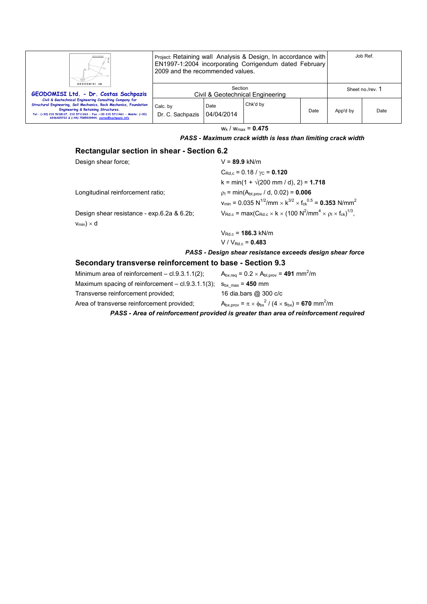| Ш.<br>GEODOMISI Ltd.                                                                                                                                                                                                                                                                                        | Job Ref.<br>Project: Retaining wall Analysis & Design, In accordance with<br>EN1997-1:2004 incorporating Corrigendum dated February<br>2009 and the recommended values. |                    |          |      |                  |      |
|-------------------------------------------------------------------------------------------------------------------------------------------------------------------------------------------------------------------------------------------------------------------------------------------------------------|-------------------------------------------------------------------------------------------------------------------------------------------------------------------------|--------------------|----------|------|------------------|------|
| GEODOMISI Ltd. - Dr. Costas Sachpazis                                                                                                                                                                                                                                                                       | Section<br>Civil & Geotechnical Engineering                                                                                                                             |                    |          |      | Sheet no./rev. 1 |      |
| Civil & Geotechnical Engineering Consulting Company for<br>Structural Engineering, Soil Mechanics, Rock Mechanics, Foundation<br>Engineering & Retaining Structures.<br>Tel.: (+30) 210 5238127, 210 5711263 - Fax.:+30 210 5711461 - Mobile: (+30)<br>6936425722 & (+44) 7585939944, costas@sachpazis.info | Calc. by<br>Dr. C. Sachpazis                                                                                                                                            | Date<br>04/04/2014 | Chk'd by | Date | App'd by         | Date |

 $w_k / w_{max} = 0.475$ 

#### *PASS - Maximum crack width is less than limiting crack width*

# **Rectangular section in shear - Section 6.2**

| Design shear force;                                      | $V = 89.9$ kN/m                                                                                                                   |
|----------------------------------------------------------|-----------------------------------------------------------------------------------------------------------------------------------|
|                                                          | $C_{\text{Rd.c}}$ = 0.18 / $\gamma_{\text{C}}$ = 0.120                                                                            |
|                                                          | $k = min(1 + \sqrt{200 \text{ mm}/ d})$ , 2) = 1.718                                                                              |
| Longitudinal reinforcement ratio:                        | $\rho_1$ = min(A <sub>bt.prov</sub> / d, 0.02) = <b>0.006</b>                                                                     |
|                                                          | $v_{\text{min}} = 0.035 \text{ N}^{1/2}/\text{mm} \times \text{K}^{3/2} \times \text{f}_{\text{ck}}^{0.5} = 0.353 \text{ N/mm}^2$ |
| Design shear resistance - exp.6.2a & 6.2b;               | $V_{Rd,c}$ = max( $C_{Rd,c}$ × k × (100 N <sup>2</sup> /mm <sup>4</sup> × $\rho_1$ × f <sub>ck</sub> ) <sup>1/3</sup> ,           |
| $v_{min}$ ) × d                                          |                                                                                                                                   |
|                                                          | $V_{\text{Red c}} = 186.3 \text{ kN/m}$                                                                                           |
|                                                          | $V/V_{Bdc} = 0.483$                                                                                                               |
|                                                          | PASS - Design shear resistance exceeds design shear force                                                                         |
| Secondary transverse reinforcement to base - Section 9.3 |                                                                                                                                   |
| Minimum area of reinforcement $-$ cl.9.3.1.1(2);         | $A_{bx,rea} = 0.2 \times A_{bt,prov} = 491$ mm <sup>2</sup> /m                                                                    |

| Minimum area of reinforcement $-$ cl.9.3.1.1(2): $\,$                    | $A_{\text{bx ren}} = 0.2 \times A_{\text{bt sny}} = 491 \text{ mm}$ /m              |
|--------------------------------------------------------------------------|-------------------------------------------------------------------------------------|
| Maximum spacing of reinforcement – cl.9.3.1.1(3); $s_{bx, max} = 450$ mm |                                                                                     |
| Transverse reinforcement provided:                                       | 16 dia.bars @ 300 c/c                                                               |
| Area of transverse reinforcement provided;                               | $A_{bx,prov} = \pi \times \phi_{bx}^2 / (4 \times s_{bx}) = 670$ mm <sup>2</sup> /m |
|                                                                          |                                                                                     |

*PASS - Area of reinforcement provided is greater than area of reinforcement required*